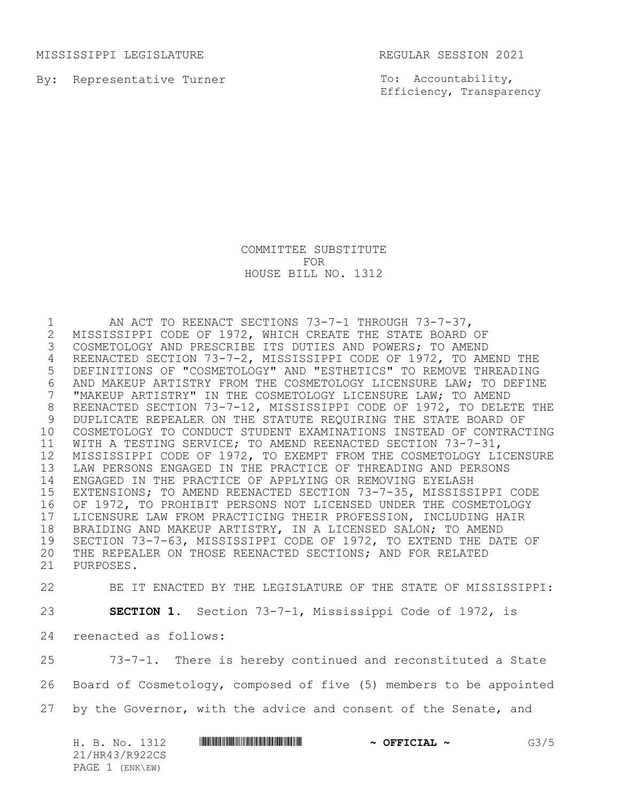MISSISSIPPI LEGISLATURE REGULAR SESSION 2021

By: Representative Turner

To: Accountability, Efficiency, Transparency

COMMITTEE SUBSTITUTE FOR HOUSE BILL NO. 1312

1 MI ACT TO REENACT SECTIONS 73-7-1 THROUGH 73-7-37,<br>2 MISSISSIPPI CODE OF 1972, WHICH CREATE THE STATE BOARD 2 MISSISSIPPI CODE OF 1972, WHICH CREATE THE STATE BOARD OF<br>3 COSMETOLOGY AND PRESCRIBE ITS DUTIES AND POWERS; TO AMEND COSMETOLOGY AND PRESCRIBE ITS DUTIES AND POWERS; TO AMEND REENACTED SECTION 73-7-2, MISSISSIPPI CODE OF 1972, TO AMEND THE DEFINITIONS OF "COSMETOLOGY" AND "ESTHETICS" TO REMOVE THREADING 6 AND MAKEUP ARTISTRY FROM THE COSMETOLOGY LICENSURE LAW; TO DEFINE<br>7 "MAKEUP ARTISTRY" IN THE COSMETOLOGY LICENSURE LAW; TO AMEND "MAKEUP ARTISTRY" IN THE COSMETOLOGY LICENSURE LAW; TO AMEND REENACTED SECTION 73-7-12, MISSISSIPPI CODE OF 1972, TO DELETE THE DUPLICATE REPEALER ON THE STATUTE REQUIRING THE STATE BOARD OF COSMETOLOGY TO CONDUCT STUDENT EXAMINATIONS INSTEAD OF CONTRACTING WITH A TESTING SERVICE; TO AMEND REENACTED SECTION 73-7-31, MISSISSIPPI CODE OF 1972, TO EXEMPT FROM THE COSMETOLOGY LICENSURE LAW PERSONS ENGAGED IN THE PRACTICE OF THREADING AND PERSONS ENGAGED IN THE PRACTICE OF APPLYING OR REMOVING EYELASH EXTENSIONS; TO AMEND REENACTED SECTION 73-7-35, MISSISSIPPI CODE OF 1972, TO PROHIBIT PERSONS NOT LICENSED UNDER THE COSMETOLOGY 17 LICENSURE LAW FROM PRACTICING THEIR PROFESSION, INCLUDING HAIR<br>18 BRAIDING AND MAKEUP ARTISTRY, IN A LICENSED SALON; TO AMEND BRAIDING AND MAKEUP ARTISTRY, IN A LICENSED SALON; TO AMEND SECTION 73-7-63, MISSISSIPPI CODE OF 1972, TO EXTEND THE DATE OF THE REPEALER ON THOSE REENACTED SECTIONS; AND FOR RELATED PURPOSES.

22 BE IT ENACTED BY THE LEGISLATURE OF THE STATE OF MISSISSIPPI:

23 **SECTION 1.** Section 73-7-1, Mississippi Code of 1972, is

24 reenacted as follows:

25 73-7-1. There is hereby continued and reconstituted a State 26 Board of Cosmetology, composed of five (5) members to be appointed 27 by the Governor, with the advice and consent of the Senate, and

| H. B. No. 1312  | $\sim$ OFFICIAL $\sim$ | G3/5 |
|-----------------|------------------------|------|
| 21/HR43/R922CS  |                        |      |
| PAGE 1 (ENK\EW) |                        |      |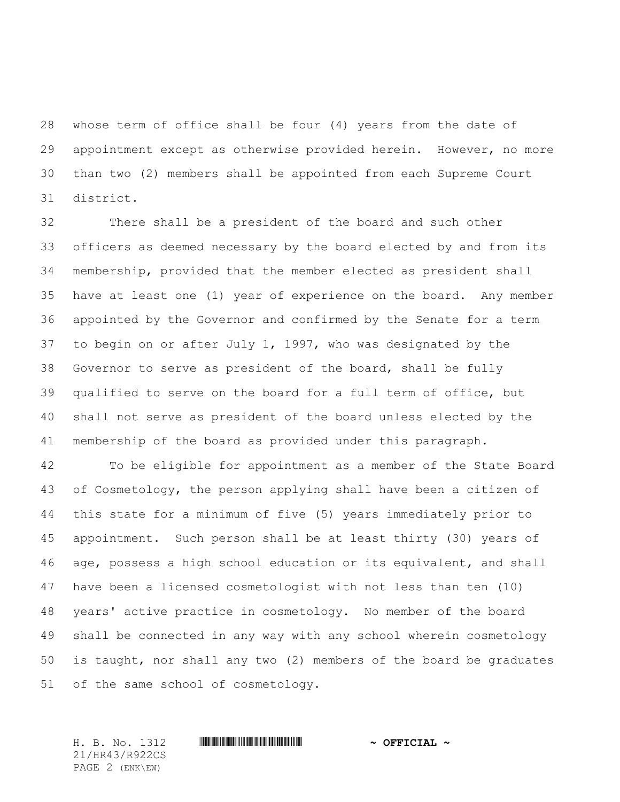whose term of office shall be four (4) years from the date of appointment except as otherwise provided herein. However, no more than two (2) members shall be appointed from each Supreme Court district.

 There shall be a president of the board and such other officers as deemed necessary by the board elected by and from its membership, provided that the member elected as president shall have at least one (1) year of experience on the board. Any member appointed by the Governor and confirmed by the Senate for a term to begin on or after July 1, 1997, who was designated by the Governor to serve as president of the board, shall be fully qualified to serve on the board for a full term of office, but shall not serve as president of the board unless elected by the membership of the board as provided under this paragraph.

 To be eligible for appointment as a member of the State Board of Cosmetology, the person applying shall have been a citizen of this state for a minimum of five (5) years immediately prior to appointment. Such person shall be at least thirty (30) years of age, possess a high school education or its equivalent, and shall have been a licensed cosmetologist with not less than ten (10) years' active practice in cosmetology. No member of the board shall be connected in any way with any school wherein cosmetology is taught, nor shall any two (2) members of the board be graduates of the same school of cosmetology.

21/HR43/R922CS PAGE 2 (ENK\EW)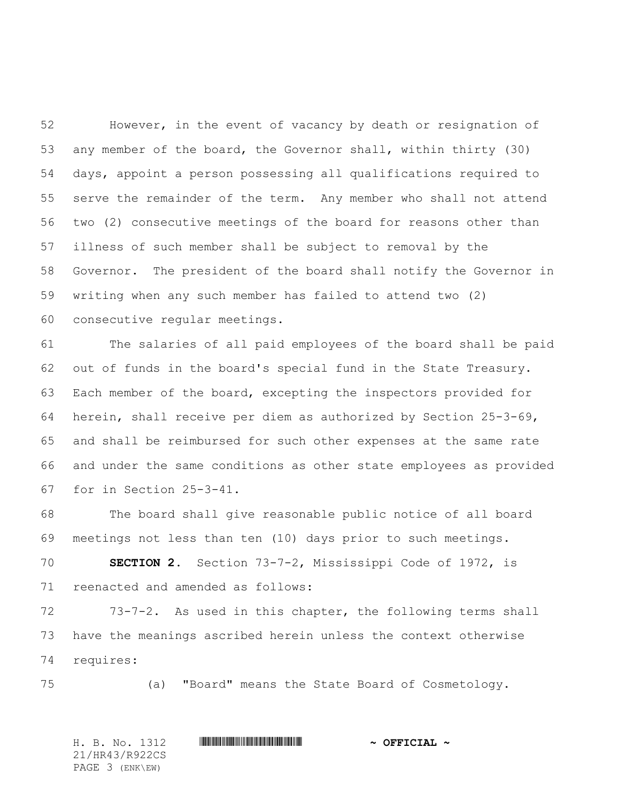However, in the event of vacancy by death or resignation of any member of the board, the Governor shall, within thirty (30) days, appoint a person possessing all qualifications required to serve the remainder of the term. Any member who shall not attend two (2) consecutive meetings of the board for reasons other than illness of such member shall be subject to removal by the Governor. The president of the board shall notify the Governor in writing when any such member has failed to attend two (2) consecutive regular meetings.

 The salaries of all paid employees of the board shall be paid out of funds in the board's special fund in the State Treasury. Each member of the board, excepting the inspectors provided for herein, shall receive per diem as authorized by Section 25-3-69, and shall be reimbursed for such other expenses at the same rate and under the same conditions as other state employees as provided for in Section 25-3-41.

 The board shall give reasonable public notice of all board meetings not less than ten (10) days prior to such meetings.

 **SECTION 2.** Section 73-7-2, Mississippi Code of 1972, is reenacted and amended as follows:

 73-7-2. As used in this chapter, the following terms shall have the meanings ascribed herein unless the context otherwise requires:

(a) "Board" means the State Board of Cosmetology.

21/HR43/R922CS PAGE 3 (ENK\EW)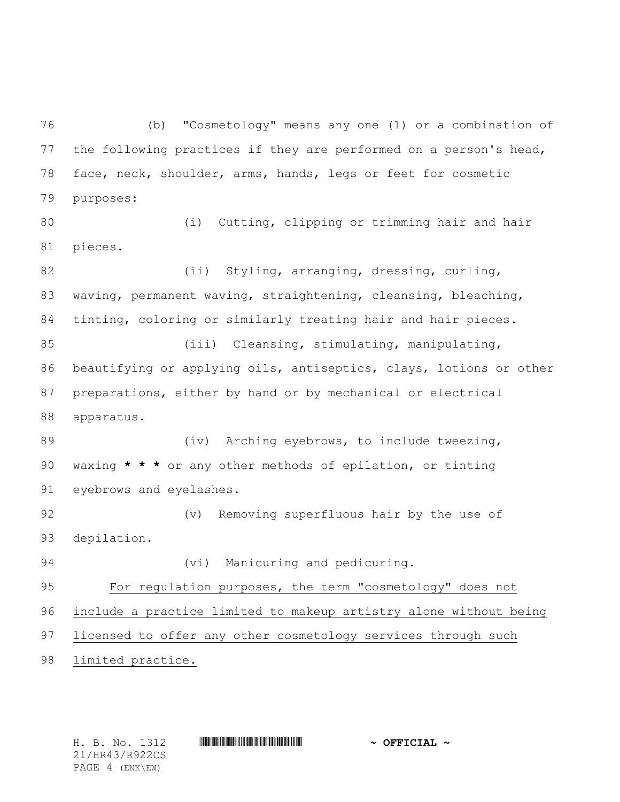(b) "Cosmetology" means any one (1) or a combination of the following practices if they are performed on a person's head, face, neck, shoulder, arms, hands, legs or feet for cosmetic purposes:

 (i) Cutting, clipping or trimming hair and hair pieces.

82 (ii) Styling, arranging, dressing, curling, waving, permanent waving, straightening, cleansing, bleaching, tinting, coloring or similarly treating hair and hair pieces. 85 (iii) Cleansing, stimulating, manipulating, beautifying or applying oils, antiseptics, clays, lotions or other preparations, either by hand or by mechanical or electrical apparatus. 89 (iv) Arching eyebrows, to include tweezing, waxing **\* \* \*** or any other methods of epilation, or tinting eyebrows and eyelashes.

 (v) Removing superfluous hair by the use of depilation.

(vi) Manicuring and pedicuring.

 For regulation purposes, the term "cosmetology" does not include a practice limited to makeup artistry alone without being licensed to offer any other cosmetology services through such limited practice.

21/HR43/R922CS PAGE 4 (ENK\EW)

H. B. No. 1312 **HR441 R922 \* AND THE POST AND THE POST OF FICIAL**  $\sim$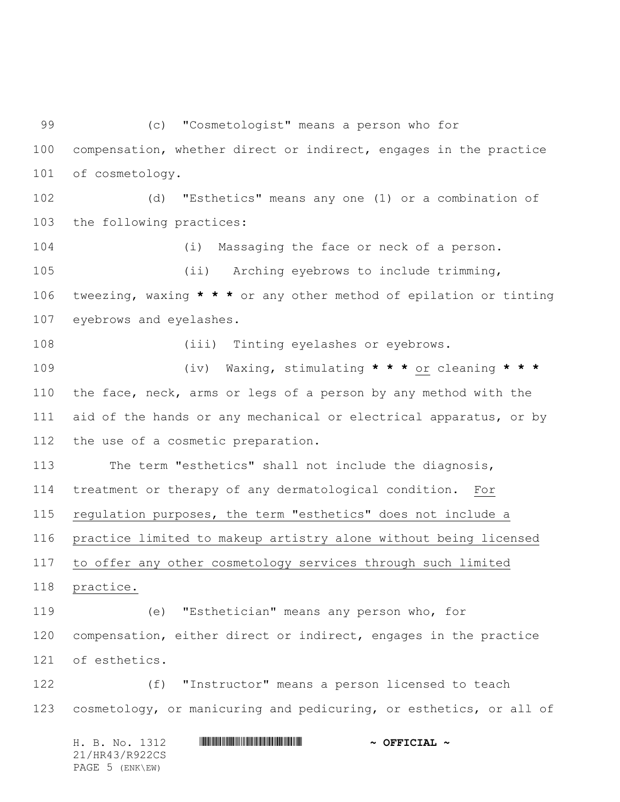(c) "Cosmetologist" means a person who for compensation, whether direct or indirect, engages in the practice of cosmetology. (d) "Esthetics" means any one (1) or a combination of the following practices: (i) Massaging the face or neck of a person. (ii) Arching eyebrows to include trimming, tweezing, waxing **\* \* \*** or any other method of epilation or tinting eyebrows and eyelashes. (iii) Tinting eyelashes or eyebrows. (iv) Waxing, stimulating **\* \* \*** or cleaning **\* \* \*** the face, neck, arms or legs of a person by any method with the 111 aid of the hands or any mechanical or electrical apparatus, or by the use of a cosmetic preparation. The term "esthetics" shall not include the diagnosis, treatment or therapy of any dermatological condition. For regulation purposes, the term "esthetics" does not include a practice limited to makeup artistry alone without being licensed to offer any other cosmetology services through such limited practice. (e) "Esthetician" means any person who, for compensation, either direct or indirect, engages in the practice of esthetics. (f) "Instructor" means a person licensed to teach cosmetology, or manicuring and pedicuring, or esthetics, or all of

H. B. No. 1312 **HR441 R922 \* AND THE FIGURE \*** 21/HR43/R922CS PAGE 5 (ENK\EW)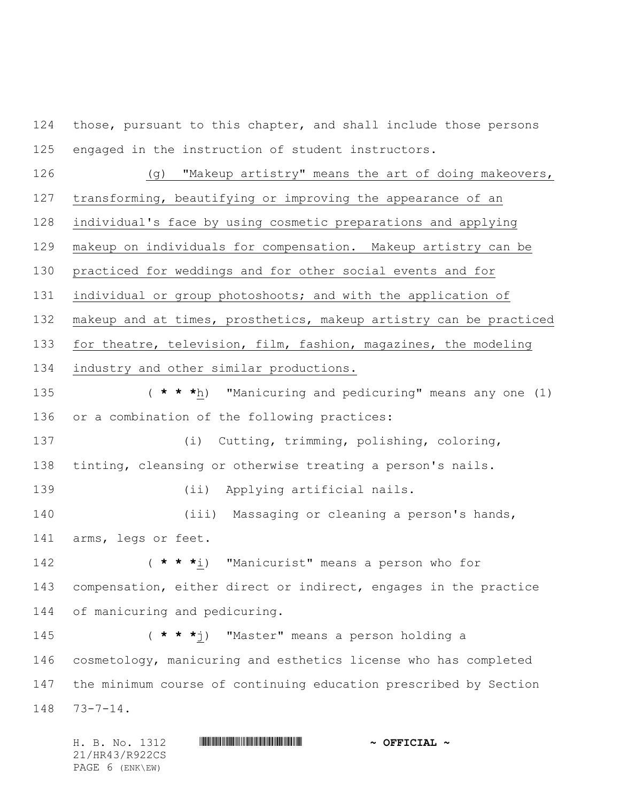124 those, pursuant to this chapter, and shall include those persons engaged in the instruction of student instructors.

 (g) "Makeup artistry" means the art of doing makeovers, transforming, beautifying or improving the appearance of an individual's face by using cosmetic preparations and applying makeup on individuals for compensation. Makeup artistry can be practiced for weddings and for other social events and for individual or group photoshoots; and with the application of makeup and at times, prosthetics, makeup artistry can be practiced for theatre, television, film, fashion, magazines, the modeling industry and other similar productions.

 ( **\* \* \***h) "Manicuring and pedicuring" means any one (1) or a combination of the following practices:

 (i) Cutting, trimming, polishing, coloring, tinting, cleansing or otherwise treating a person's nails.

(ii) Applying artificial nails.

 (iii) Massaging or cleaning a person's hands, arms, legs or feet.

 ( **\* \* \***i) "Manicurist" means a person who for compensation, either direct or indirect, engages in the practice of manicuring and pedicuring.

 ( **\* \* \***j) "Master" means a person holding a cosmetology, manicuring and esthetics license who has completed the minimum course of continuing education prescribed by Section 73-7-14.

H. B. No. 1312 **HR430 R922CIAL 4 CEFICIAL 4** 21/HR43/R922CS PAGE 6 (ENK\EW)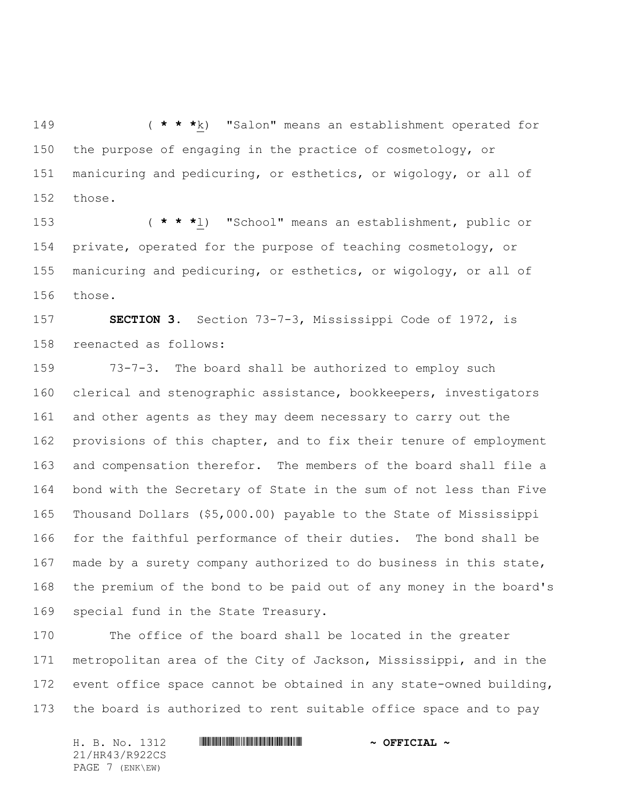( **\* \* \***k) "Salon" means an establishment operated for the purpose of engaging in the practice of cosmetology, or manicuring and pedicuring, or esthetics, or wigology, or all of those.

 ( **\* \* \***l) "School" means an establishment, public or private, operated for the purpose of teaching cosmetology, or manicuring and pedicuring, or esthetics, or wigology, or all of those.

 **SECTION 3.** Section 73-7-3, Mississippi Code of 1972, is reenacted as follows:

 73-7-3. The board shall be authorized to employ such clerical and stenographic assistance, bookkeepers, investigators and other agents as they may deem necessary to carry out the provisions of this chapter, and to fix their tenure of employment and compensation therefor. The members of the board shall file a bond with the Secretary of State in the sum of not less than Five Thousand Dollars (\$5,000.00) payable to the State of Mississippi for the faithful performance of their duties. The bond shall be made by a surety company authorized to do business in this state, the premium of the bond to be paid out of any money in the board's special fund in the State Treasury.

 The office of the board shall be located in the greater metropolitan area of the City of Jackson, Mississippi, and in the event office space cannot be obtained in any state-owned building, the board is authorized to rent suitable office space and to pay

21/HR43/R922CS PAGE 7 (ENK\EW)

## H. B. No. 1312 **HR441 R922 \* AND THE FIGURE \***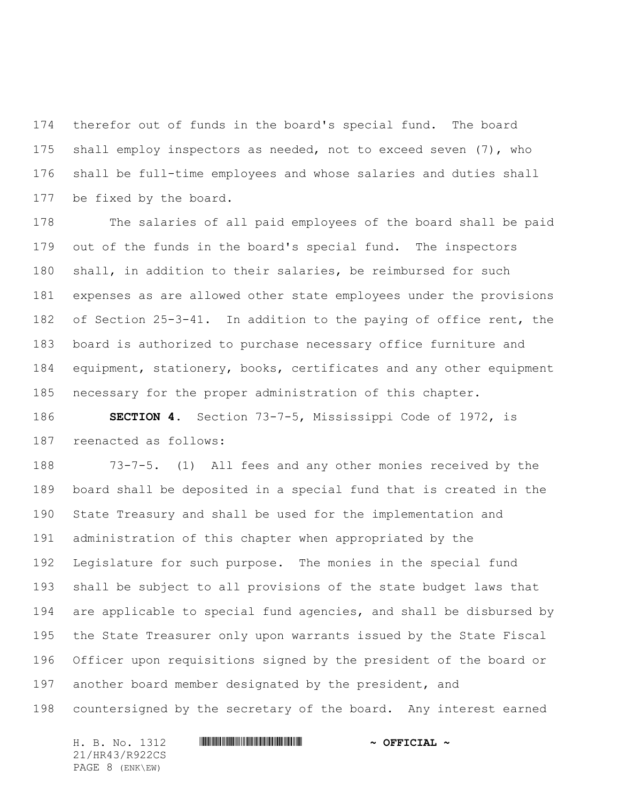therefor out of funds in the board's special fund. The board shall employ inspectors as needed, not to exceed seven (7), who shall be full-time employees and whose salaries and duties shall be fixed by the board.

 The salaries of all paid employees of the board shall be paid out of the funds in the board's special fund. The inspectors shall, in addition to their salaries, be reimbursed for such expenses as are allowed other state employees under the provisions of Section 25-3-41. In addition to the paying of office rent, the board is authorized to purchase necessary office furniture and equipment, stationery, books, certificates and any other equipment necessary for the proper administration of this chapter.

 **SECTION 4.** Section 73-7-5, Mississippi Code of 1972, is reenacted as follows:

 73-7-5. (1) All fees and any other monies received by the board shall be deposited in a special fund that is created in the State Treasury and shall be used for the implementation and administration of this chapter when appropriated by the Legislature for such purpose. The monies in the special fund shall be subject to all provisions of the state budget laws that are applicable to special fund agencies, and shall be disbursed by the State Treasurer only upon warrants issued by the State Fiscal Officer upon requisitions signed by the president of the board or another board member designated by the president, and countersigned by the secretary of the board. Any interest earned

21/HR43/R922CS PAGE 8 (ENK\EW)

## H. B. No. 1312 **HR441 R922 \* AND THE FIGURE \***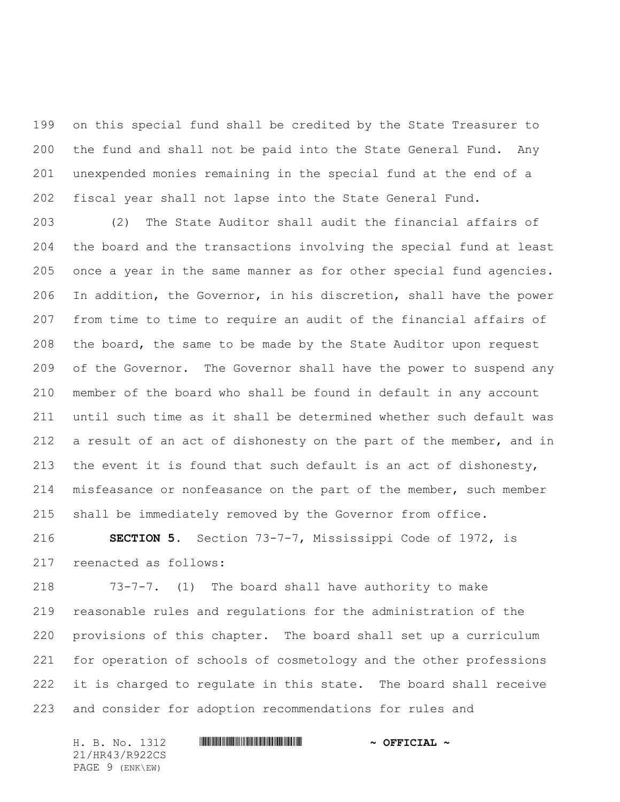on this special fund shall be credited by the State Treasurer to the fund and shall not be paid into the State General Fund. Any unexpended monies remaining in the special fund at the end of a fiscal year shall not lapse into the State General Fund.

 (2) The State Auditor shall audit the financial affairs of the board and the transactions involving the special fund at least once a year in the same manner as for other special fund agencies. In addition, the Governor, in his discretion, shall have the power from time to time to require an audit of the financial affairs of the board, the same to be made by the State Auditor upon request of the Governor. The Governor shall have the power to suspend any member of the board who shall be found in default in any account until such time as it shall be determined whether such default was a result of an act of dishonesty on the part of the member, and in the event it is found that such default is an act of dishonesty, 214 misfeasance or nonfeasance on the part of the member, such member shall be immediately removed by the Governor from office.

 **SECTION 5.** Section 73-7-7, Mississippi Code of 1972, is reenacted as follows:

 73-7-7. (1) The board shall have authority to make reasonable rules and regulations for the administration of the provisions of this chapter. The board shall set up a curriculum for operation of schools of cosmetology and the other professions 222 it is charged to regulate in this state. The board shall receive and consider for adoption recommendations for rules and

21/HR43/R922CS PAGE 9 (ENK\EW)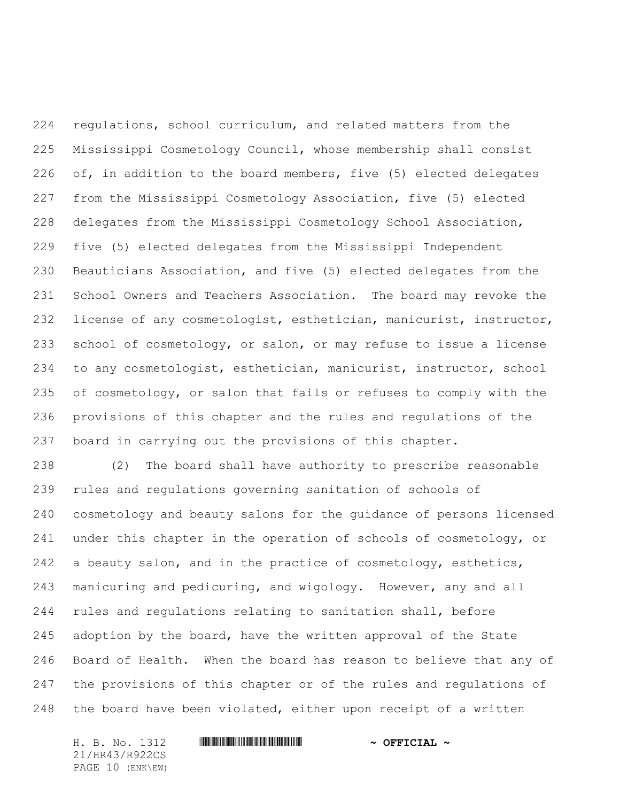regulations, school curriculum, and related matters from the Mississippi Cosmetology Council, whose membership shall consist of, in addition to the board members, five (5) elected delegates from the Mississippi Cosmetology Association, five (5) elected delegates from the Mississippi Cosmetology School Association, five (5) elected delegates from the Mississippi Independent Beauticians Association, and five (5) elected delegates from the School Owners and Teachers Association. The board may revoke the license of any cosmetologist, esthetician, manicurist, instructor, school of cosmetology, or salon, or may refuse to issue a license to any cosmetologist, esthetician, manicurist, instructor, school of cosmetology, or salon that fails or refuses to comply with the provisions of this chapter and the rules and regulations of the board in carrying out the provisions of this chapter.

 (2) The board shall have authority to prescribe reasonable rules and regulations governing sanitation of schools of cosmetology and beauty salons for the guidance of persons licensed 241 under this chapter in the operation of schools of cosmetology, or 242 a beauty salon, and in the practice of cosmetology, esthetics, manicuring and pedicuring, and wigology. However, any and all rules and regulations relating to sanitation shall, before adoption by the board, have the written approval of the State Board of Health. When the board has reason to believe that any of the provisions of this chapter or of the rules and regulations of the board have been violated, either upon receipt of a written

21/HR43/R922CS PAGE 10 (ENK\EW)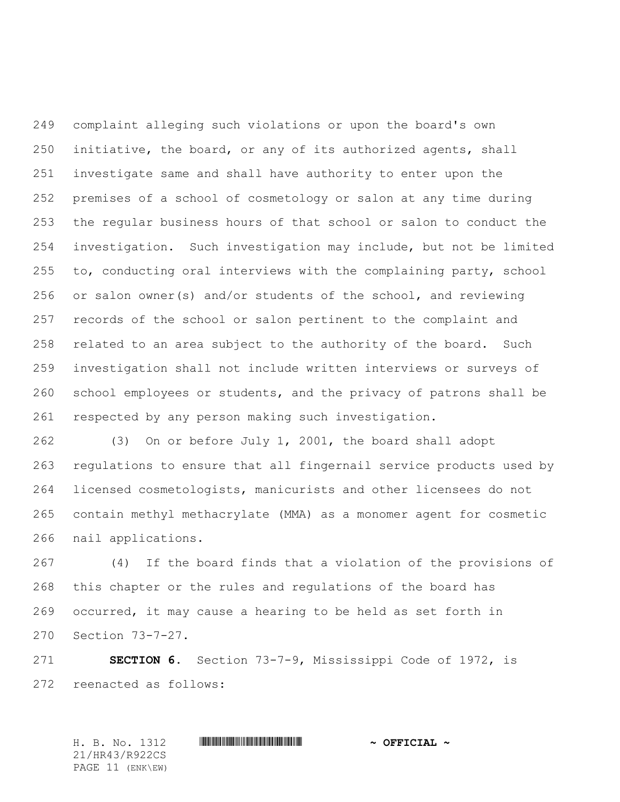complaint alleging such violations or upon the board's own initiative, the board, or any of its authorized agents, shall investigate same and shall have authority to enter upon the premises of a school of cosmetology or salon at any time during the regular business hours of that school or salon to conduct the investigation. Such investigation may include, but not be limited to, conducting oral interviews with the complaining party, school or salon owner(s) and/or students of the school, and reviewing records of the school or salon pertinent to the complaint and related to an area subject to the authority of the board. Such investigation shall not include written interviews or surveys of school employees or students, and the privacy of patrons shall be respected by any person making such investigation.

 (3) On or before July 1, 2001, the board shall adopt regulations to ensure that all fingernail service products used by licensed cosmetologists, manicurists and other licensees do not contain methyl methacrylate (MMA) as a monomer agent for cosmetic nail applications.

 (4) If the board finds that a violation of the provisions of this chapter or the rules and regulations of the board has occurred, it may cause a hearing to be held as set forth in Section 73-7-27.

 **SECTION 6.** Section 73-7-9, Mississippi Code of 1972, is reenacted as follows:

H. B. No. 1312 **HR430 R922CIAL 4 CEFICIAL 4** 21/HR43/R922CS PAGE 11 (ENK\EW)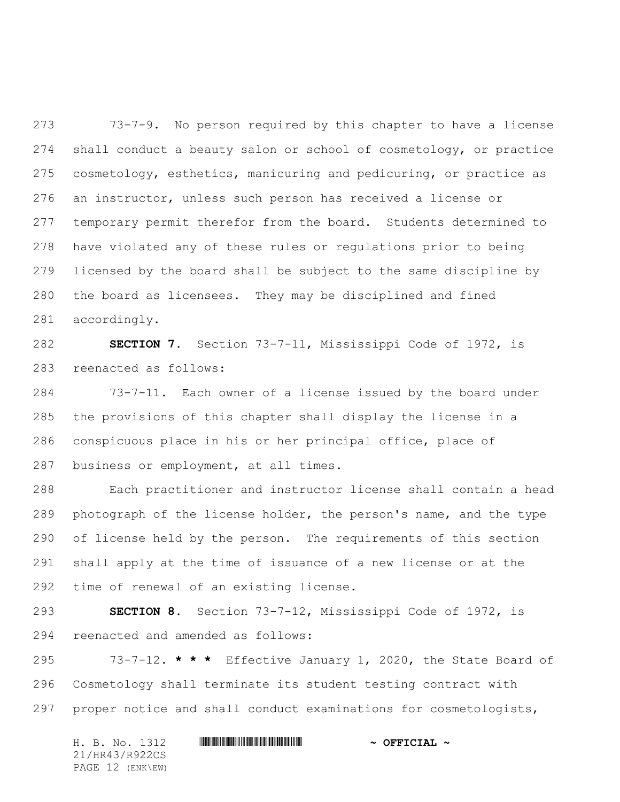73-7-9. No person required by this chapter to have a license shall conduct a beauty salon or school of cosmetology, or practice cosmetology, esthetics, manicuring and pedicuring, or practice as an instructor, unless such person has received a license or temporary permit therefor from the board. Students determined to have violated any of these rules or regulations prior to being licensed by the board shall be subject to the same discipline by the board as licensees. They may be disciplined and fined accordingly.

 **SECTION 7.** Section 73-7-11, Mississippi Code of 1972, is reenacted as follows:

 73-7-11. Each owner of a license issued by the board under the provisions of this chapter shall display the license in a conspicuous place in his or her principal office, place of business or employment, at all times.

 Each practitioner and instructor license shall contain a head photograph of the license holder, the person's name, and the type of license held by the person. The requirements of this section shall apply at the time of issuance of a new license or at the time of renewal of an existing license.

 **SECTION 8.** Section 73-7-12, Mississippi Code of 1972, is reenacted and amended as follows:

 73-7-12. **\* \* \*** Effective January 1, 2020, the State Board of Cosmetology shall terminate its student testing contract with proper notice and shall conduct examinations for cosmetologists,

H. B. No. 1312 \*HR43/R922CS\* **~ OFFICIAL ~** 21/HR43/R922CS PAGE 12 (ENK\EW)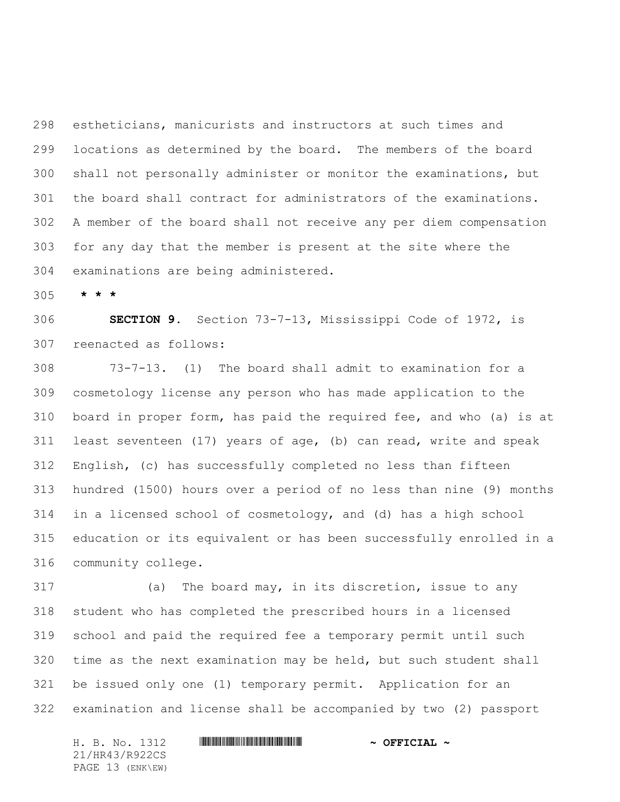estheticians, manicurists and instructors at such times and locations as determined by the board. The members of the board shall not personally administer or monitor the examinations, but the board shall contract for administrators of the examinations. A member of the board shall not receive any per diem compensation for any day that the member is present at the site where the examinations are being administered.

**\* \* \***

 **SECTION 9.** Section 73-7-13, Mississippi Code of 1972, is reenacted as follows:

 73-7-13. (1) The board shall admit to examination for a cosmetology license any person who has made application to the board in proper form, has paid the required fee, and who (a) is at least seventeen (17) years of age, (b) can read, write and speak English, (c) has successfully completed no less than fifteen hundred (1500) hours over a period of no less than nine (9) months in a licensed school of cosmetology, and (d) has a high school education or its equivalent or has been successfully enrolled in a community college.

 (a) The board may, in its discretion, issue to any student who has completed the prescribed hours in a licensed school and paid the required fee a temporary permit until such time as the next examination may be held, but such student shall be issued only one (1) temporary permit. Application for an examination and license shall be accompanied by two (2) passport

21/HR43/R922CS PAGE 13 (ENK\EW)

## H. B. No. 1312 **HR441 R922 \* AND THE FIGURE \***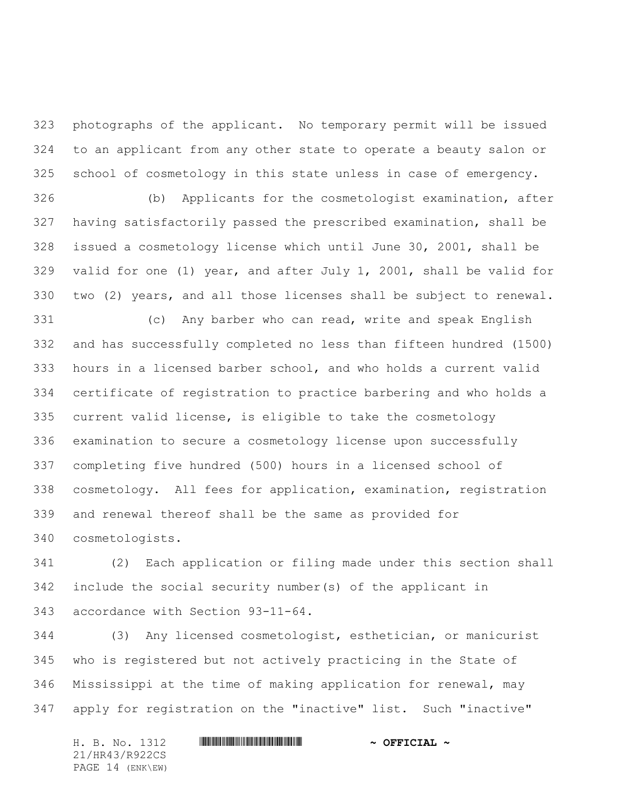photographs of the applicant. No temporary permit will be issued to an applicant from any other state to operate a beauty salon or school of cosmetology in this state unless in case of emergency.

 (b) Applicants for the cosmetologist examination, after having satisfactorily passed the prescribed examination, shall be issued a cosmetology license which until June 30, 2001, shall be valid for one (1) year, and after July 1, 2001, shall be valid for two (2) years, and all those licenses shall be subject to renewal.

 (c) Any barber who can read, write and speak English and has successfully completed no less than fifteen hundred (1500) hours in a licensed barber school, and who holds a current valid certificate of registration to practice barbering and who holds a current valid license, is eligible to take the cosmetology examination to secure a cosmetology license upon successfully completing five hundred (500) hours in a licensed school of cosmetology. All fees for application, examination, registration and renewal thereof shall be the same as provided for cosmetologists.

 (2) Each application or filing made under this section shall include the social security number(s) of the applicant in accordance with Section 93-11-64.

 (3) Any licensed cosmetologist, esthetician, or manicurist who is registered but not actively practicing in the State of Mississippi at the time of making application for renewal, may apply for registration on the "inactive" list. Such "inactive"

H. B. No. 1312 \*HR43/R922CS\* **~ OFFICIAL ~** 21/HR43/R922CS PAGE 14 (ENK\EW)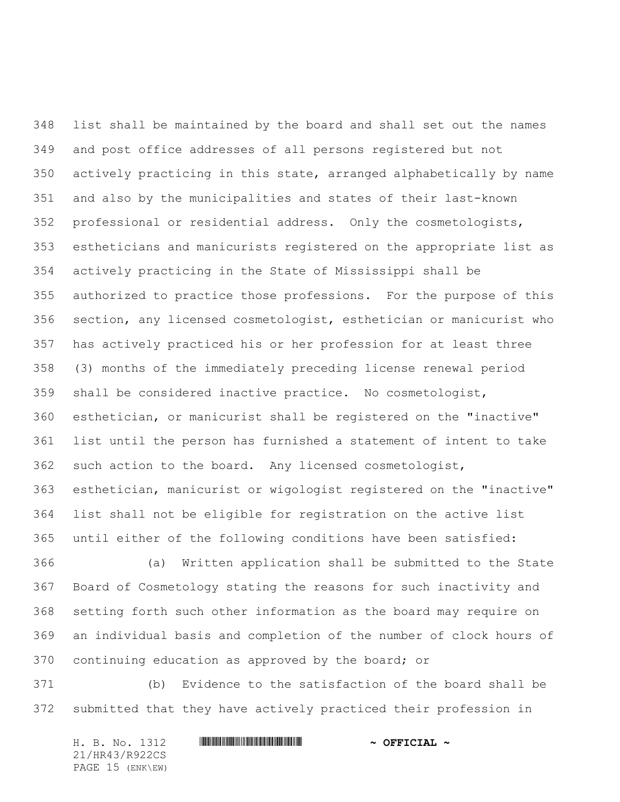list shall be maintained by the board and shall set out the names and post office addresses of all persons registered but not actively practicing in this state, arranged alphabetically by name and also by the municipalities and states of their last-known professional or residential address. Only the cosmetologists, estheticians and manicurists registered on the appropriate list as actively practicing in the State of Mississippi shall be authorized to practice those professions. For the purpose of this section, any licensed cosmetologist, esthetician or manicurist who has actively practiced his or her profession for at least three (3) months of the immediately preceding license renewal period shall be considered inactive practice. No cosmetologist, esthetician, or manicurist shall be registered on the "inactive" list until the person has furnished a statement of intent to take such action to the board. Any licensed cosmetologist, esthetician, manicurist or wigologist registered on the "inactive" list shall not be eligible for registration on the active list until either of the following conditions have been satisfied:

 (a) Written application shall be submitted to the State Board of Cosmetology stating the reasons for such inactivity and setting forth such other information as the board may require on an individual basis and completion of the number of clock hours of continuing education as approved by the board; or

 (b) Evidence to the satisfaction of the board shall be submitted that they have actively practiced their profession in

H. B. No. 1312 \*HR43/R922CS\* **~ OFFICIAL ~** 21/HR43/R922CS PAGE 15 (ENK\EW)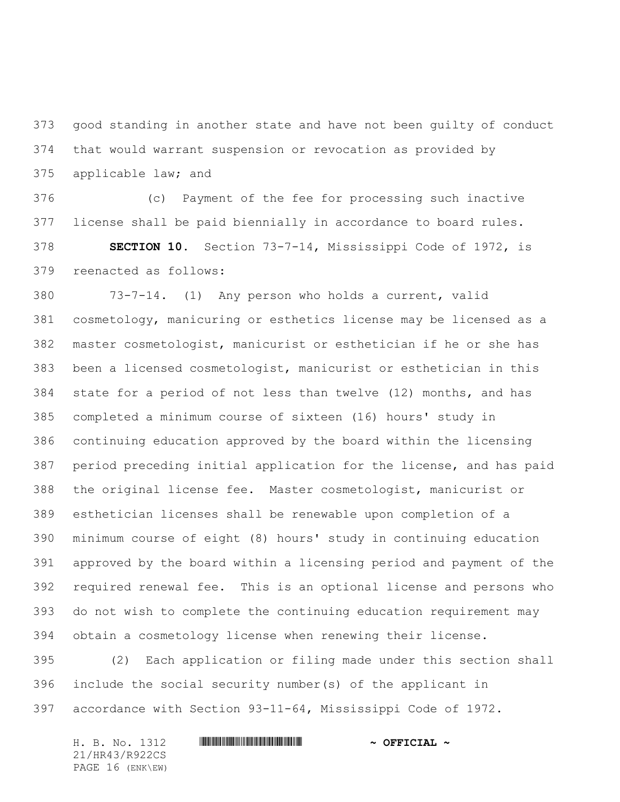good standing in another state and have not been guilty of conduct that would warrant suspension or revocation as provided by applicable law; and

 (c) Payment of the fee for processing such inactive license shall be paid biennially in accordance to board rules. **SECTION 10.** Section 73-7-14, Mississippi Code of 1972, is reenacted as follows:

 73-7-14. (1) Any person who holds a current, valid cosmetology, manicuring or esthetics license may be licensed as a master cosmetologist, manicurist or esthetician if he or she has been a licensed cosmetologist, manicurist or esthetician in this state for a period of not less than twelve (12) months, and has completed a minimum course of sixteen (16) hours' study in continuing education approved by the board within the licensing period preceding initial application for the license, and has paid the original license fee. Master cosmetologist, manicurist or esthetician licenses shall be renewable upon completion of a minimum course of eight (8) hours' study in continuing education approved by the board within a licensing period and payment of the required renewal fee. This is an optional license and persons who do not wish to complete the continuing education requirement may obtain a cosmetology license when renewing their license.

 (2) Each application or filing made under this section shall include the social security number(s) of the applicant in accordance with Section 93-11-64, Mississippi Code of 1972.

| H. B. No. 1312   | $\sim$ OFFICIAL $\sim$ |
|------------------|------------------------|
| 21/HR43/R922CS   |                        |
| PAGE 16 (ENK\EW) |                        |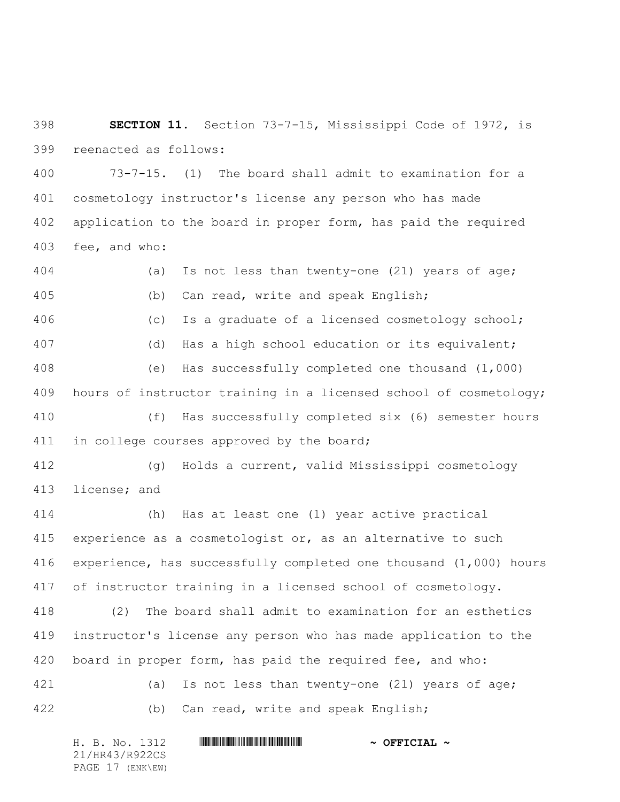**SECTION 11.** Section 73-7-15, Mississippi Code of 1972, is reenacted as follows:

 73-7-15. (1) The board shall admit to examination for a cosmetology instructor's license any person who has made application to the board in proper form, has paid the required fee, and who:

 (a) Is not less than twenty-one (21) years of age; (b) Can read, write and speak English; (c) Is a graduate of a licensed cosmetology school; (d) Has a high school education or its equivalent; (e) Has successfully completed one thousand (1,000) hours of instructor training in a licensed school of cosmetology; (f) Has successfully completed six (6) semester hours 411 in college courses approved by the board; (g) Holds a current, valid Mississippi cosmetology license; and (h) Has at least one (1) year active practical experience as a cosmetologist or, as an alternative to such experience, has successfully completed one thousand (1,000) hours of instructor training in a licensed school of cosmetology. (2) The board shall admit to examination for an esthetics instructor's license any person who has made application to the board in proper form, has paid the required fee, and who: (a) Is not less than twenty-one (21) years of age; (b) Can read, write and speak English;

H. B. No. 1312 \*HR43/R922CS\* **~ OFFICIAL ~** 21/HR43/R922CS PAGE 17 (ENK\EW)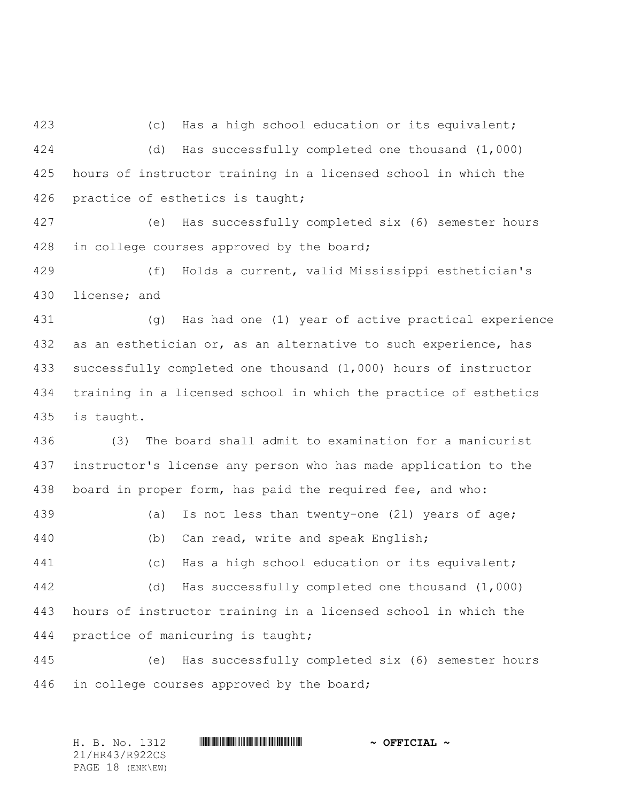(c) Has a high school education or its equivalent; (d) Has successfully completed one thousand (1,000) hours of instructor training in a licensed school in which the practice of esthetics is taught;

 (e) Has successfully completed six (6) semester hours 428 in college courses approved by the board;

 (f) Holds a current, valid Mississippi esthetician's license; and

 (g) Has had one (1) year of active practical experience 432 as an esthetician or, as an alternative to such experience, has successfully completed one thousand (1,000) hours of instructor training in a licensed school in which the practice of esthetics is taught.

 (3) The board shall admit to examination for a manicurist instructor's license any person who has made application to the board in proper form, has paid the required fee, and who:

 (a) Is not less than twenty-one (21) years of age; (b) Can read, write and speak English;

 (c) Has a high school education or its equivalent; (d) Has successfully completed one thousand (1,000) hours of instructor training in a licensed school in which the practice of manicuring is taught;

 (e) Has successfully completed six (6) semester hours in college courses approved by the board;

H. B. No. 1312 \*HR43/R922CS\* **~ OFFICIAL ~** 21/HR43/R922CS PAGE 18 (ENK\EW)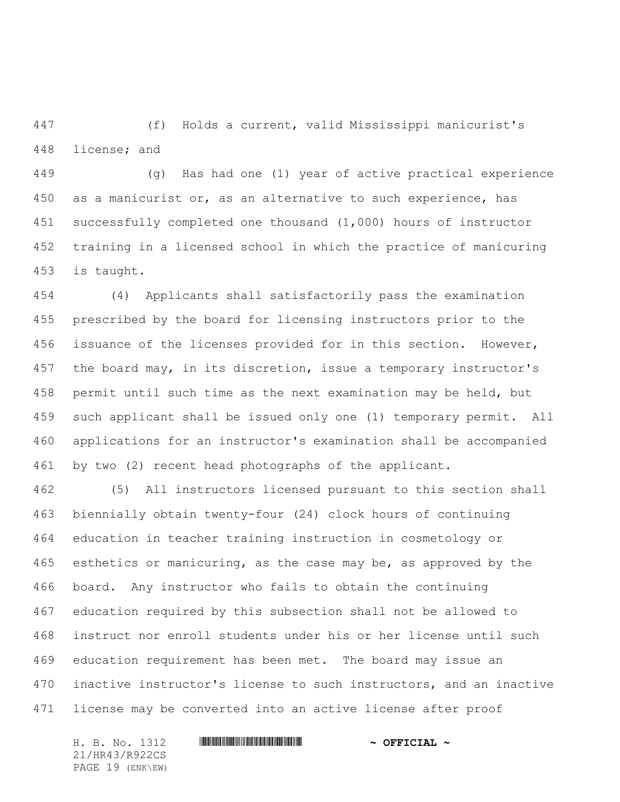(f) Holds a current, valid Mississippi manicurist's license; and

 (g) Has had one (1) year of active practical experience as a manicurist or, as an alternative to such experience, has successfully completed one thousand (1,000) hours of instructor training in a licensed school in which the practice of manicuring is taught.

 (4) Applicants shall satisfactorily pass the examination prescribed by the board for licensing instructors prior to the issuance of the licenses provided for in this section. However, the board may, in its discretion, issue a temporary instructor's permit until such time as the next examination may be held, but such applicant shall be issued only one (1) temporary permit. All applications for an instructor's examination shall be accompanied by two (2) recent head photographs of the applicant.

 (5) All instructors licensed pursuant to this section shall biennially obtain twenty-four (24) clock hours of continuing education in teacher training instruction in cosmetology or esthetics or manicuring, as the case may be, as approved by the board. Any instructor who fails to obtain the continuing education required by this subsection shall not be allowed to instruct nor enroll students under his or her license until such education requirement has been met. The board may issue an inactive instructor's license to such instructors, and an inactive license may be converted into an active license after proof

21/HR43/R922CS PAGE 19 (ENK\EW)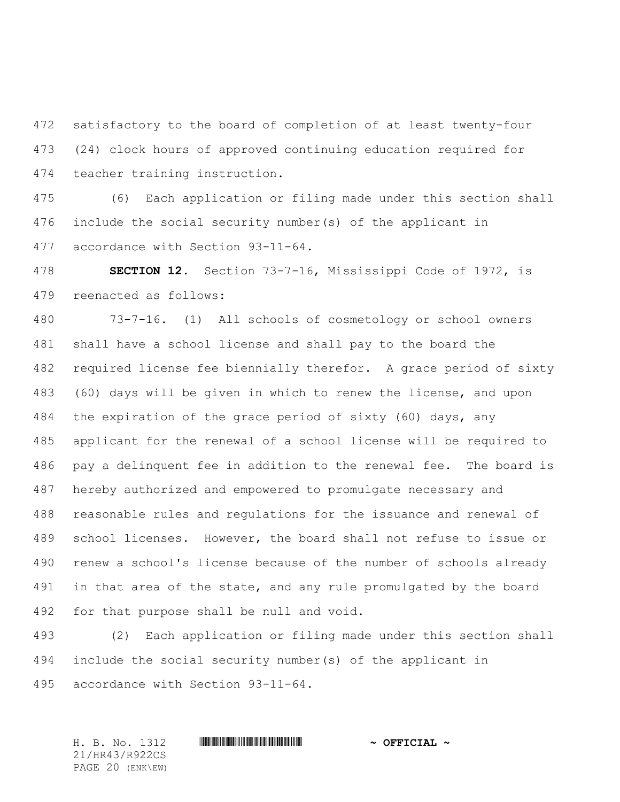satisfactory to the board of completion of at least twenty-four (24) clock hours of approved continuing education required for teacher training instruction.

 (6) Each application or filing made under this section shall include the social security number(s) of the applicant in accordance with Section 93-11-64.

 **SECTION 12.** Section 73-7-16, Mississippi Code of 1972, is reenacted as follows:

 73-7-16. (1) All schools of cosmetology or school owners shall have a school license and shall pay to the board the required license fee biennially therefor. A grace period of sixty (60) days will be given in which to renew the license, and upon the expiration of the grace period of sixty (60) days, any applicant for the renewal of a school license will be required to pay a delinquent fee in addition to the renewal fee. The board is hereby authorized and empowered to promulgate necessary and reasonable rules and regulations for the issuance and renewal of school licenses. However, the board shall not refuse to issue or renew a school's license because of the number of schools already 491 in that area of the state, and any rule promulgated by the board for that purpose shall be null and void.

 (2) Each application or filing made under this section shall include the social security number(s) of the applicant in accordance with Section 93-11-64.

21/HR43/R922CS PAGE 20 (ENK\EW)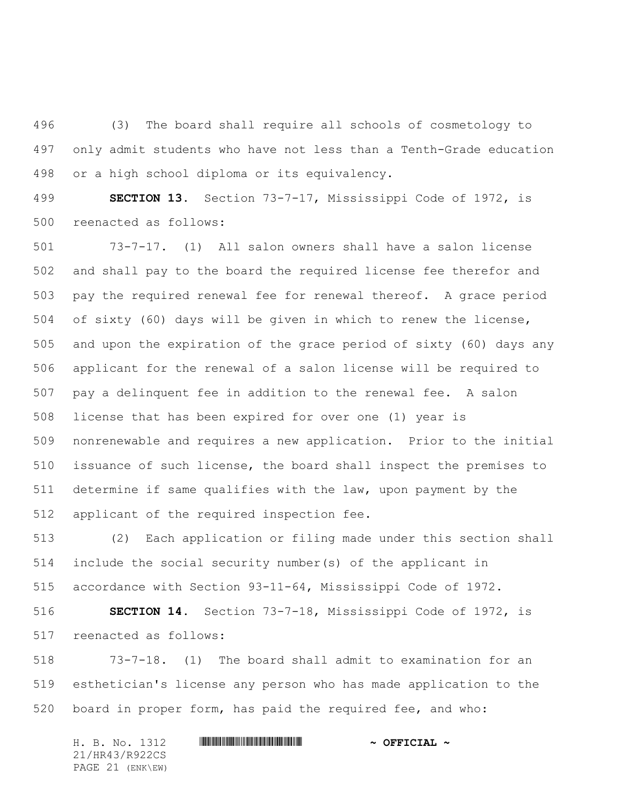(3) The board shall require all schools of cosmetology to only admit students who have not less than a Tenth-Grade education or a high school diploma or its equivalency.

 **SECTION 13.** Section 73-7-17, Mississippi Code of 1972, is reenacted as follows:

 73-7-17. (1) All salon owners shall have a salon license and shall pay to the board the required license fee therefor and pay the required renewal fee for renewal thereof. A grace period of sixty (60) days will be given in which to renew the license, and upon the expiration of the grace period of sixty (60) days any applicant for the renewal of a salon license will be required to pay a delinquent fee in addition to the renewal fee. A salon license that has been expired for over one (1) year is nonrenewable and requires a new application. Prior to the initial issuance of such license, the board shall inspect the premises to determine if same qualifies with the law, upon payment by the applicant of the required inspection fee.

 (2) Each application or filing made under this section shall include the social security number(s) of the applicant in accordance with Section 93-11-64, Mississippi Code of 1972.

 **SECTION 14.** Section 73-7-18, Mississippi Code of 1972, is reenacted as follows:

 73-7-18. (1) The board shall admit to examination for an esthetician's license any person who has made application to the board in proper form, has paid the required fee, and who:

H. B. No. 1312 \*HR43/R922CS\* **~ OFFICIAL ~** 21/HR43/R922CS PAGE 21 (ENK\EW)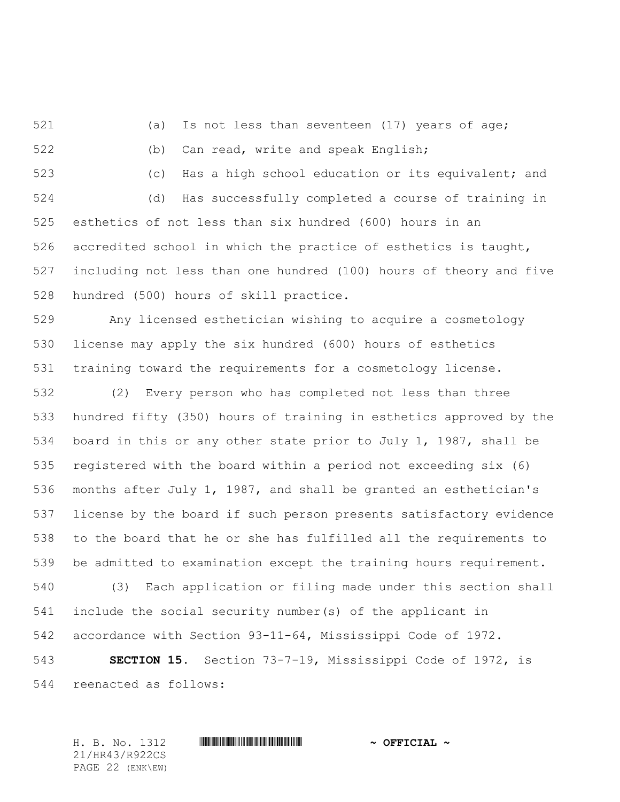521 (a) Is not less than seventeen (17) years of age;

(b) Can read, write and speak English;

(c) Has a high school education or its equivalent; and

 (d) Has successfully completed a course of training in esthetics of not less than six hundred (600) hours in an 526 accredited school in which the practice of esthetics is taught, including not less than one hundred (100) hours of theory and five hundred (500) hours of skill practice.

Any licensed esthetician wishing to acquire a cosmetology

 license may apply the six hundred (600) hours of esthetics training toward the requirements for a cosmetology license.

 (2) Every person who has completed not less than three hundred fifty (350) hours of training in esthetics approved by the board in this or any other state prior to July 1, 1987, shall be registered with the board within a period not exceeding six (6) months after July 1, 1987, and shall be granted an esthetician's license by the board if such person presents satisfactory evidence to the board that he or she has fulfilled all the requirements to be admitted to examination except the training hours requirement. (3) Each application or filing made under this section shall include the social security number(s) of the applicant in accordance with Section 93-11-64, Mississippi Code of 1972.

 **SECTION 15.** Section 73-7-19, Mississippi Code of 1972, is reenacted as follows:

H. B. No. 1312 \*HR43/R922CS\* **~ OFFICIAL ~** 21/HR43/R922CS PAGE 22 (ENK\EW)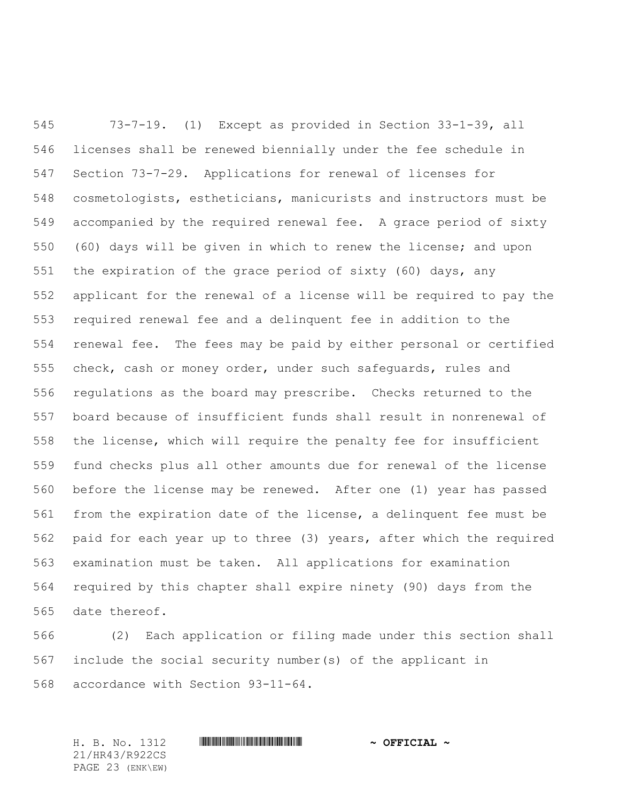73-7-19. (1) Except as provided in Section 33-1-39, all licenses shall be renewed biennially under the fee schedule in Section 73-7-29. Applications for renewal of licenses for cosmetologists, estheticians, manicurists and instructors must be accompanied by the required renewal fee. A grace period of sixty (60) days will be given in which to renew the license; and upon the expiration of the grace period of sixty (60) days, any applicant for the renewal of a license will be required to pay the required renewal fee and a delinquent fee in addition to the renewal fee. The fees may be paid by either personal or certified check, cash or money order, under such safeguards, rules and regulations as the board may prescribe. Checks returned to the board because of insufficient funds shall result in nonrenewal of the license, which will require the penalty fee for insufficient fund checks plus all other amounts due for renewal of the license before the license may be renewed. After one (1) year has passed from the expiration date of the license, a delinquent fee must be paid for each year up to three (3) years, after which the required examination must be taken. All applications for examination required by this chapter shall expire ninety (90) days from the date thereof.

 (2) Each application or filing made under this section shall include the social security number(s) of the applicant in accordance with Section 93-11-64.

H. B. No. 1312 \*HR43/R922CS\* **~ OFFICIAL ~** 21/HR43/R922CS PAGE 23 (ENK\EW)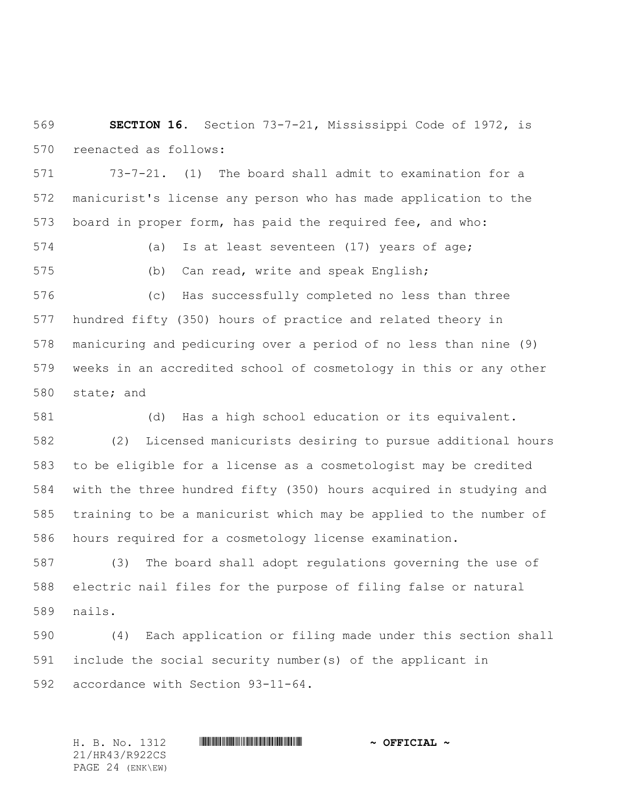**SECTION 16.** Section 73-7-21, Mississippi Code of 1972, is reenacted as follows:

 73-7-21. (1) The board shall admit to examination for a manicurist's license any person who has made application to the board in proper form, has paid the required fee, and who:

 (a) Is at least seventeen (17) years of age; (b) Can read, write and speak English;

 (c) Has successfully completed no less than three hundred fifty (350) hours of practice and related theory in manicuring and pedicuring over a period of no less than nine (9) weeks in an accredited school of cosmetology in this or any other state; and

(d) Has a high school education or its equivalent.

 (2) Licensed manicurists desiring to pursue additional hours to be eligible for a license as a cosmetologist may be credited with the three hundred fifty (350) hours acquired in studying and training to be a manicurist which may be applied to the number of hours required for a cosmetology license examination.

 (3) The board shall adopt regulations governing the use of electric nail files for the purpose of filing false or natural nails.

 (4) Each application or filing made under this section shall include the social security number(s) of the applicant in accordance with Section 93-11-64.

H. B. No. 1312 \*HR43/R922CS\* **~ OFFICIAL ~** 21/HR43/R922CS PAGE 24 (ENK\EW)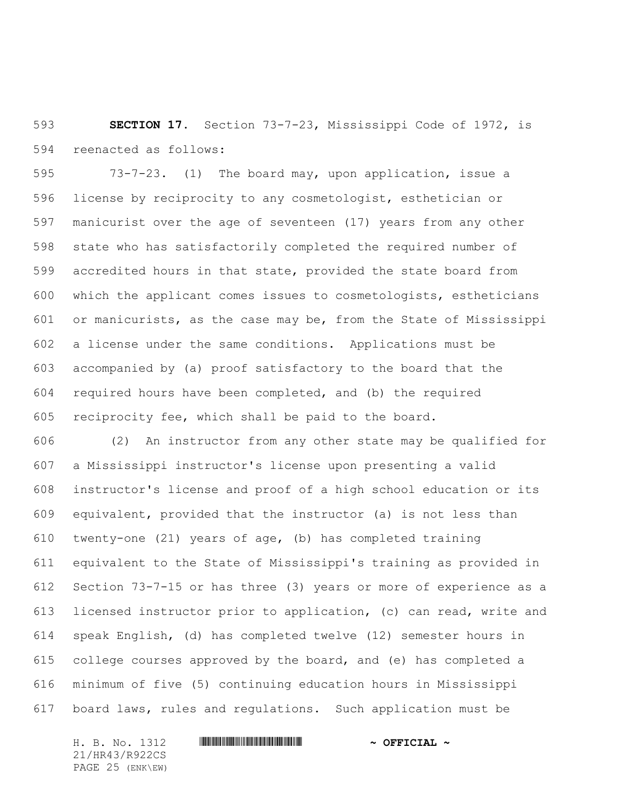**SECTION 17.** Section 73-7-23, Mississippi Code of 1972, is reenacted as follows:

 73-7-23. (1) The board may, upon application, issue a license by reciprocity to any cosmetologist, esthetician or manicurist over the age of seventeen (17) years from any other state who has satisfactorily completed the required number of accredited hours in that state, provided the state board from which the applicant comes issues to cosmetologists, estheticians or manicurists, as the case may be, from the State of Mississippi a license under the same conditions. Applications must be accompanied by (a) proof satisfactory to the board that the required hours have been completed, and (b) the required reciprocity fee, which shall be paid to the board.

 (2) An instructor from any other state may be qualified for a Mississippi instructor's license upon presenting a valid instructor's license and proof of a high school education or its equivalent, provided that the instructor (a) is not less than twenty-one (21) years of age, (b) has completed training equivalent to the State of Mississippi's training as provided in Section 73-7-15 or has three (3) years or more of experience as a licensed instructor prior to application, (c) can read, write and speak English, (d) has completed twelve (12) semester hours in college courses approved by the board, and (e) has completed a minimum of five (5) continuing education hours in Mississippi board laws, rules and regulations. Such application must be

H. B. No. 1312 \*HR43/R922CS\* **~ OFFICIAL ~** 21/HR43/R922CS PAGE 25 (ENK\EW)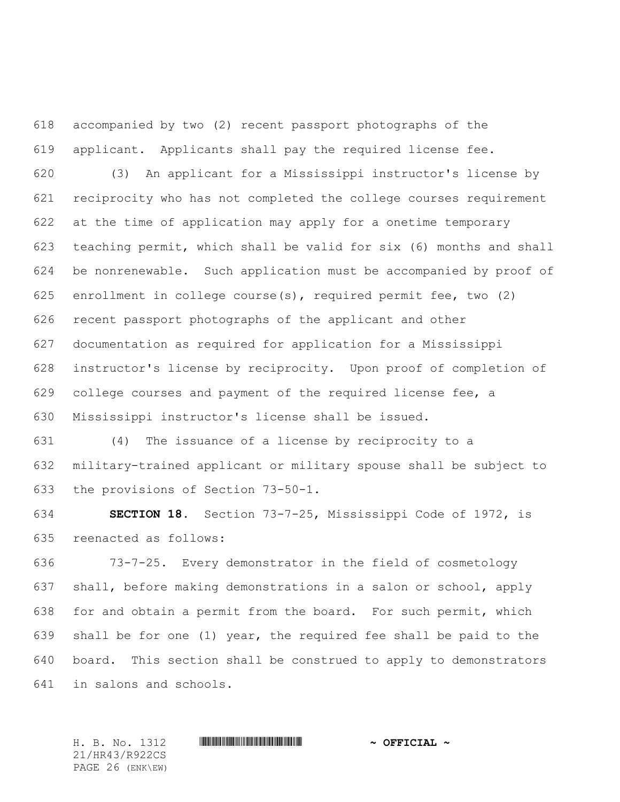accompanied by two (2) recent passport photographs of the applicant. Applicants shall pay the required license fee.

 (3) An applicant for a Mississippi instructor's license by reciprocity who has not completed the college courses requirement at the time of application may apply for a onetime temporary teaching permit, which shall be valid for six (6) months and shall be nonrenewable. Such application must be accompanied by proof of enrollment in college course(s), required permit fee, two (2) recent passport photographs of the applicant and other documentation as required for application for a Mississippi instructor's license by reciprocity. Upon proof of completion of college courses and payment of the required license fee, a Mississippi instructor's license shall be issued.

 (4) The issuance of a license by reciprocity to a military-trained applicant or military spouse shall be subject to the provisions of Section 73-50-1.

 **SECTION 18.** Section 73-7-25, Mississippi Code of 1972, is reenacted as follows:

 73-7-25. Every demonstrator in the field of cosmetology shall, before making demonstrations in a salon or school, apply for and obtain a permit from the board. For such permit, which shall be for one (1) year, the required fee shall be paid to the board. This section shall be construed to apply to demonstrators in salons and schools.

21/HR43/R922CS PAGE 26 (ENK\EW)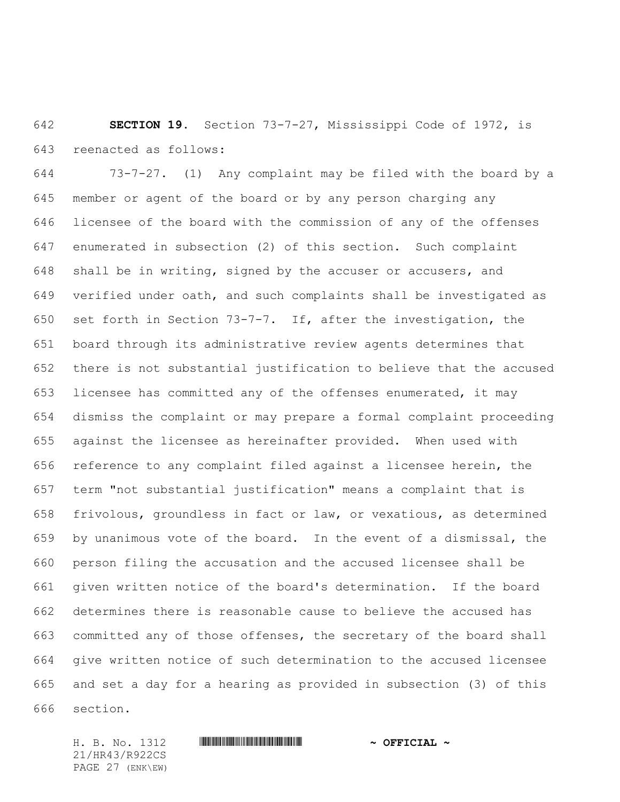**SECTION 19.** Section 73-7-27, Mississippi Code of 1972, is reenacted as follows:

 73-7-27. (1) Any complaint may be filed with the board by a member or agent of the board or by any person charging any licensee of the board with the commission of any of the offenses enumerated in subsection (2) of this section. Such complaint shall be in writing, signed by the accuser or accusers, and verified under oath, and such complaints shall be investigated as set forth in Section 73-7-7. If, after the investigation, the board through its administrative review agents determines that there is not substantial justification to believe that the accused licensee has committed any of the offenses enumerated, it may dismiss the complaint or may prepare a formal complaint proceeding against the licensee as hereinafter provided. When used with reference to any complaint filed against a licensee herein, the term "not substantial justification" means a complaint that is frivolous, groundless in fact or law, or vexatious, as determined by unanimous vote of the board. In the event of a dismissal, the person filing the accusation and the accused licensee shall be given written notice of the board's determination. If the board determines there is reasonable cause to believe the accused has committed any of those offenses, the secretary of the board shall give written notice of such determination to the accused licensee and set a day for a hearing as provided in subsection (3) of this section.

21/HR43/R922CS PAGE 27 (ENK\EW)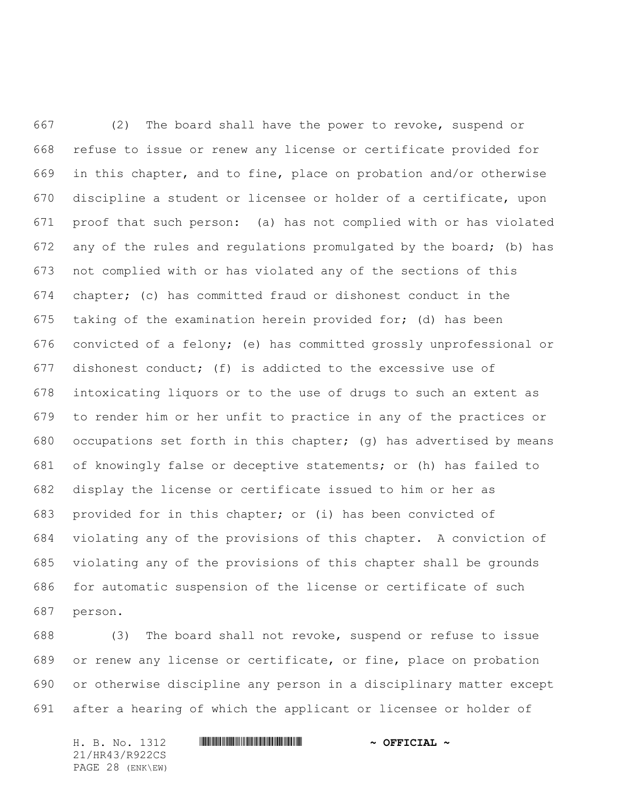(2) The board shall have the power to revoke, suspend or refuse to issue or renew any license or certificate provided for in this chapter, and to fine, place on probation and/or otherwise discipline a student or licensee or holder of a certificate, upon proof that such person: (a) has not complied with or has violated any of the rules and regulations promulgated by the board; (b) has not complied with or has violated any of the sections of this chapter; (c) has committed fraud or dishonest conduct in the taking of the examination herein provided for; (d) has been convicted of a felony; (e) has committed grossly unprofessional or dishonest conduct; (f) is addicted to the excessive use of intoxicating liquors or to the use of drugs to such an extent as to render him or her unfit to practice in any of the practices or occupations set forth in this chapter; (g) has advertised by means of knowingly false or deceptive statements; or (h) has failed to display the license or certificate issued to him or her as provided for in this chapter; or (i) has been convicted of violating any of the provisions of this chapter. A conviction of violating any of the provisions of this chapter shall be grounds for automatic suspension of the license or certificate of such person.

 (3) The board shall not revoke, suspend or refuse to issue or renew any license or certificate, or fine, place on probation or otherwise discipline any person in a disciplinary matter except after a hearing of which the applicant or licensee or holder of

21/HR43/R922CS PAGE 28 (ENK\EW)

## H. B. No. 1312 **HR441 R922 \* AND THE FIGURE \***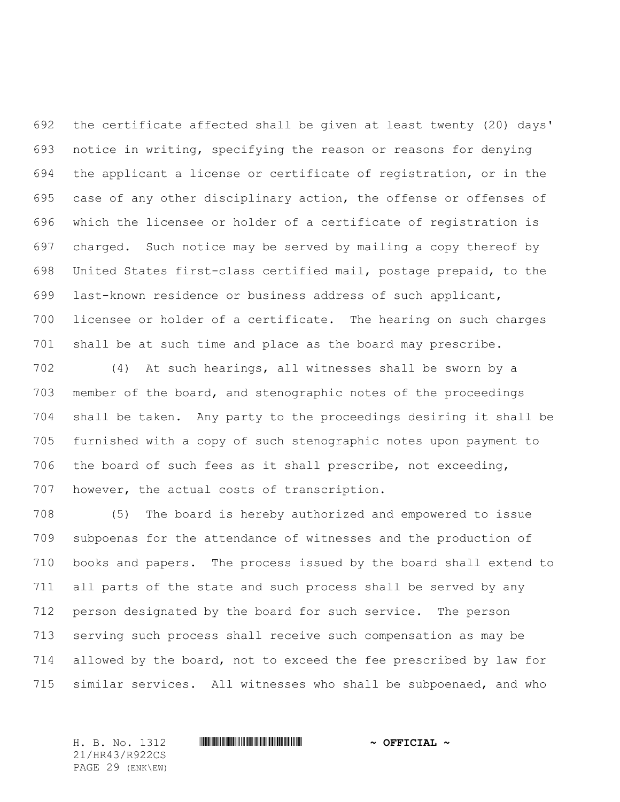the certificate affected shall be given at least twenty (20) days' notice in writing, specifying the reason or reasons for denying the applicant a license or certificate of registration, or in the case of any other disciplinary action, the offense or offenses of which the licensee or holder of a certificate of registration is charged. Such notice may be served by mailing a copy thereof by United States first-class certified mail, postage prepaid, to the last-known residence or business address of such applicant, licensee or holder of a certificate. The hearing on such charges shall be at such time and place as the board may prescribe.

 (4) At such hearings, all witnesses shall be sworn by a member of the board, and stenographic notes of the proceedings shall be taken. Any party to the proceedings desiring it shall be furnished with a copy of such stenographic notes upon payment to the board of such fees as it shall prescribe, not exceeding, however, the actual costs of transcription.

 (5) The board is hereby authorized and empowered to issue subpoenas for the attendance of witnesses and the production of books and papers. The process issued by the board shall extend to all parts of the state and such process shall be served by any person designated by the board for such service. The person serving such process shall receive such compensation as may be allowed by the board, not to exceed the fee prescribed by law for similar services. All witnesses who shall be subpoenaed, and who

21/HR43/R922CS PAGE 29 (ENK\EW)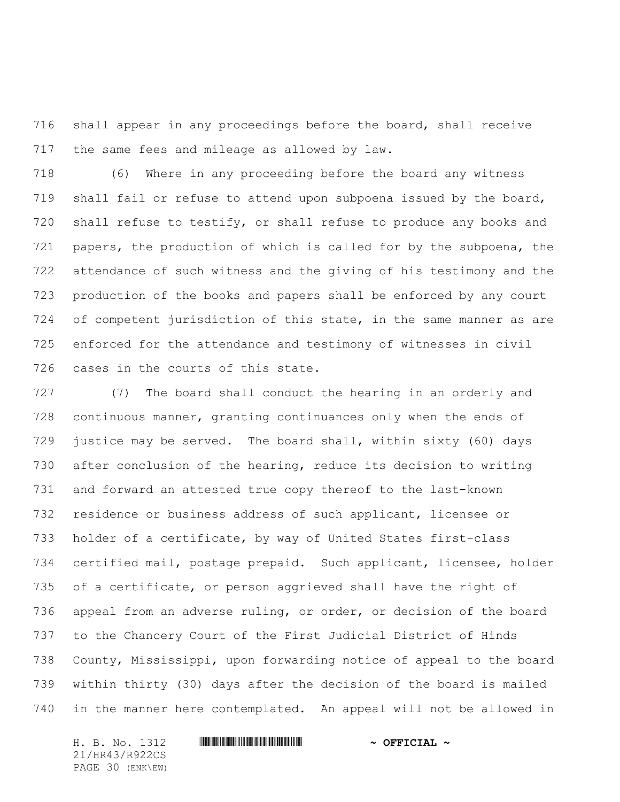shall appear in any proceedings before the board, shall receive the same fees and mileage as allowed by law.

 (6) Where in any proceeding before the board any witness shall fail or refuse to attend upon subpoena issued by the board, 720 shall refuse to testify, or shall refuse to produce any books and papers, the production of which is called for by the subpoena, the attendance of such witness and the giving of his testimony and the production of the books and papers shall be enforced by any court of competent jurisdiction of this state, in the same manner as are enforced for the attendance and testimony of witnesses in civil cases in the courts of this state.

 (7) The board shall conduct the hearing in an orderly and continuous manner, granting continuances only when the ends of justice may be served. The board shall, within sixty (60) days after conclusion of the hearing, reduce its decision to writing and forward an attested true copy thereof to the last-known residence or business address of such applicant, licensee or holder of a certificate, by way of United States first-class certified mail, postage prepaid. Such applicant, licensee, holder of a certificate, or person aggrieved shall have the right of appeal from an adverse ruling, or order, or decision of the board to the Chancery Court of the First Judicial District of Hinds County, Mississippi, upon forwarding notice of appeal to the board within thirty (30) days after the decision of the board is mailed in the manner here contemplated. An appeal will not be allowed in

21/HR43/R922CS PAGE 30 (ENK\EW)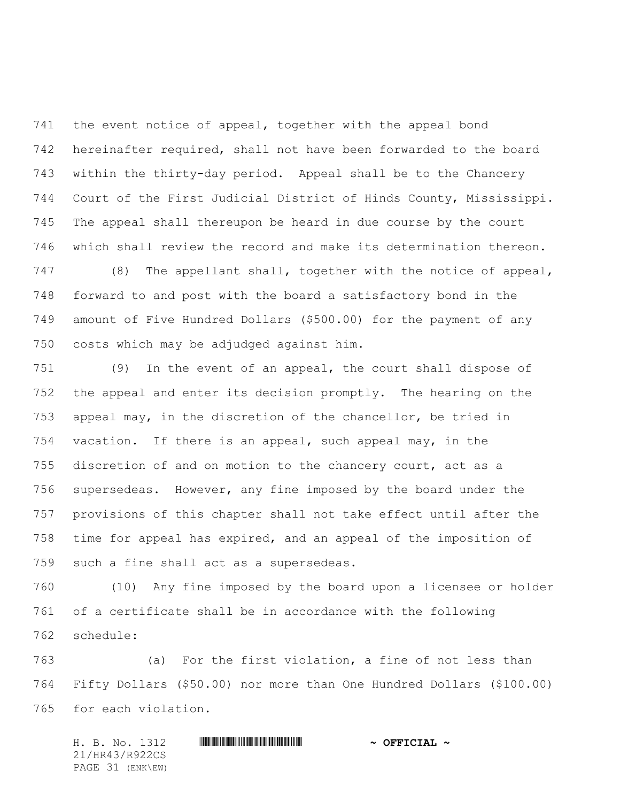the event notice of appeal, together with the appeal bond hereinafter required, shall not have been forwarded to the board within the thirty-day period. Appeal shall be to the Chancery Court of the First Judicial District of Hinds County, Mississippi. The appeal shall thereupon be heard in due course by the court which shall review the record and make its determination thereon.

 (8) The appellant shall, together with the notice of appeal, forward to and post with the board a satisfactory bond in the amount of Five Hundred Dollars (\$500.00) for the payment of any costs which may be adjudged against him.

 (9) In the event of an appeal, the court shall dispose of the appeal and enter its decision promptly. The hearing on the appeal may, in the discretion of the chancellor, be tried in vacation. If there is an appeal, such appeal may, in the discretion of and on motion to the chancery court, act as a supersedeas. However, any fine imposed by the board under the provisions of this chapter shall not take effect until after the time for appeal has expired, and an appeal of the imposition of such a fine shall act as a supersedeas.

 (10) Any fine imposed by the board upon a licensee or holder of a certificate shall be in accordance with the following schedule:

 (a) For the first violation, a fine of not less than Fifty Dollars (\$50.00) nor more than One Hundred Dollars (\$100.00) for each violation.

H. B. No. 1312 **HR430 R922CIAL 4 CEFICIAL 4** 21/HR43/R922CS PAGE 31 (ENK\EW)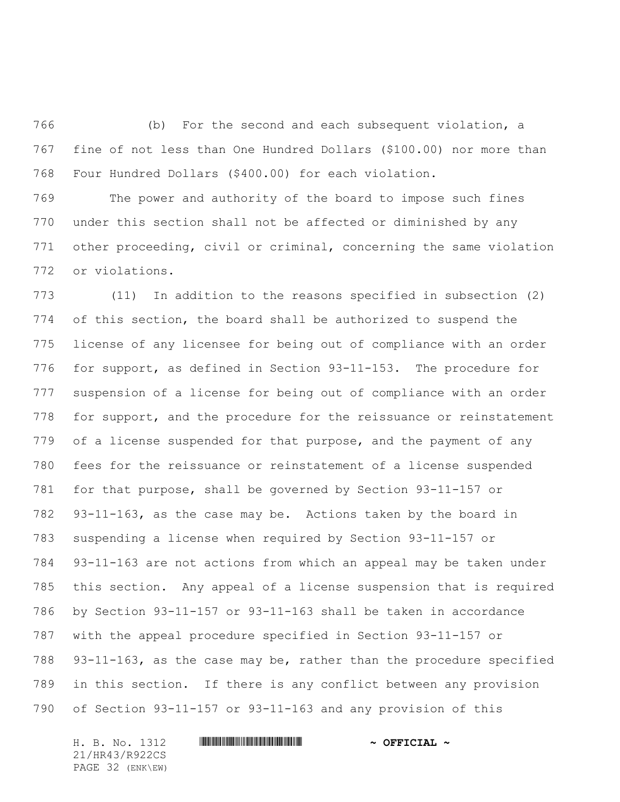(b) For the second and each subsequent violation, a fine of not less than One Hundred Dollars (\$100.00) nor more than Four Hundred Dollars (\$400.00) for each violation.

 The power and authority of the board to impose such fines under this section shall not be affected or diminished by any other proceeding, civil or criminal, concerning the same violation or violations.

 (11) In addition to the reasons specified in subsection (2) of this section, the board shall be authorized to suspend the license of any licensee for being out of compliance with an order for support, as defined in Section 93-11-153. The procedure for suspension of a license for being out of compliance with an order for support, and the procedure for the reissuance or reinstatement of a license suspended for that purpose, and the payment of any fees for the reissuance or reinstatement of a license suspended for that purpose, shall be governed by Section 93-11-157 or 93-11-163, as the case may be. Actions taken by the board in suspending a license when required by Section 93-11-157 or 93-11-163 are not actions from which an appeal may be taken under this section. Any appeal of a license suspension that is required by Section 93-11-157 or 93-11-163 shall be taken in accordance with the appeal procedure specified in Section 93-11-157 or 93-11-163, as the case may be, rather than the procedure specified in this section. If there is any conflict between any provision of Section 93-11-157 or 93-11-163 and any provision of this

21/HR43/R922CS PAGE 32 (ENK\EW)

## H. B. No. 1312 **HR441 R922 \* AND THE FIGURE \***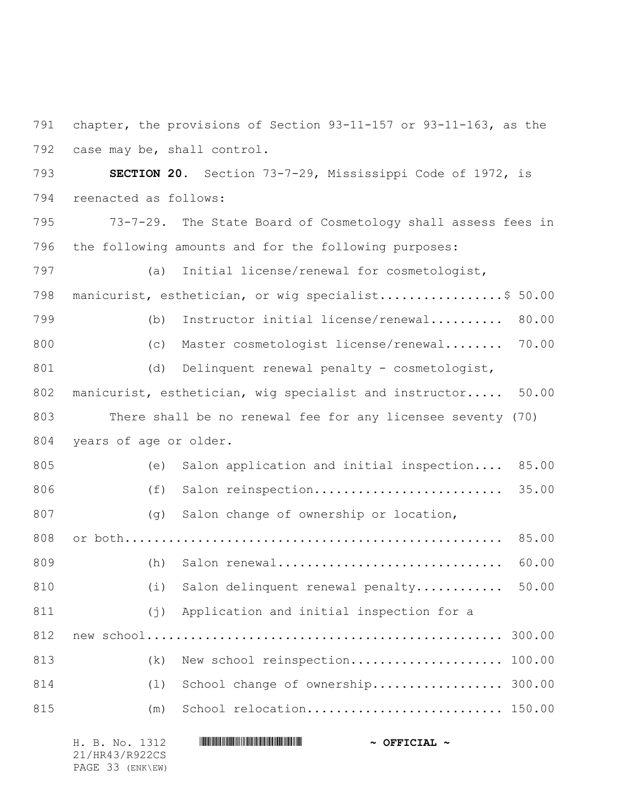791 chapter, the provisions of Section 93-11-157 or 93-11-163, as the 792 case may be, shall control.

793 **SECTION 20.** Section 73-7-29, Mississippi Code of 1972, is 794 reenacted as follows:

795 73-7-29. The State Board of Cosmetology shall assess fees in 796 the following amounts and for the following purposes:

797 (a) Initial license/renewal for cosmetologist, 798 manicurist, esthetician, or wig specialist.................\$ 50.00 799 (b) Instructor initial license/renewal.......... 80.00 800 (c) Master cosmetologist license/renewal........ 70.00 801 (d) Delinquent renewal penalty - cosmetologist, 802 manicurist, esthetician, wig specialist and instructor..... 50.00 803 There shall be no renewal fee for any licensee seventy (70) 804 years of age or older. 805 (e) Salon application and initial inspection.... 85.00 806 (f) Salon reinspection.......................... 35.00 807 (g) Salon change of ownership or location, 808 or both.................................................... 85.00 809 (h) Salon renewal............................... 60.00 810 (i) Salon delinquent renewal penalty............ 50.00 811 (j) Application and initial inspection for a 812 new school................................................. 300.00 813 (k) New school reinspection.......................... 100.00 814 (l) School change of ownership.......................... 300.00 815 (m) School relocation.............................. 150.00

| H. B. No. 1312   | $\sim$ OFFICIAL $\sim$ |
|------------------|------------------------|
| 21/HR43/R922CS   |                        |
| PAGE 33 (ENK\EW) |                        |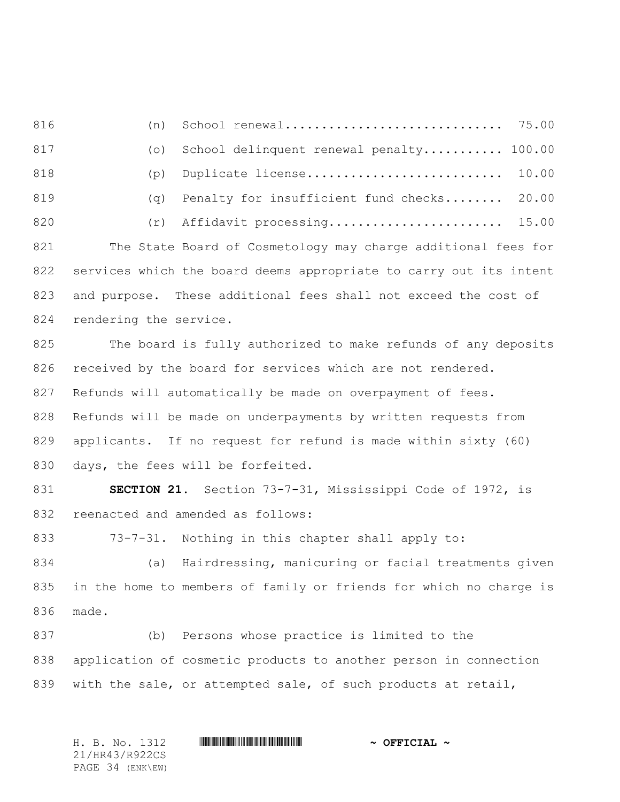816 (n) School renewal.............................. 75.00 817 (o) School delinquent renewal penalty........... 100.00 818 (p) Duplicate license........................... 10.00 819 (q) Penalty for insufficient fund checks........ 20.00 820 (r) Affidavit processing........................... 15.00 821 The State Board of Cosmetology may charge additional fees for 822 services which the board deems appropriate to carry out its intent 823 and purpose. These additional fees shall not exceed the cost of 824 rendering the service.

825 The board is fully authorized to make refunds of any deposits 826 received by the board for services which are not rendered. 827 Refunds will automatically be made on overpayment of fees. 828 Refunds will be made on underpayments by written requests from 829 applicants. If no request for refund is made within sixty (60) 830 days, the fees will be forfeited.

831 **SECTION 21.** Section 73-7-31, Mississippi Code of 1972, is 832 reenacted and amended as follows:

833 73-7-31. Nothing in this chapter shall apply to:

834 (a) Hairdressing, manicuring or facial treatments given 835 in the home to members of family or friends for which no charge is 836 made.

837 (b) Persons whose practice is limited to the 838 application of cosmetic products to another person in connection 839 with the sale, or attempted sale, of such products at retail,

H. B. No. 1312 \*HR43/R922CS\* **~ OFFICIAL ~** 21/HR43/R922CS PAGE 34 (ENK\EW)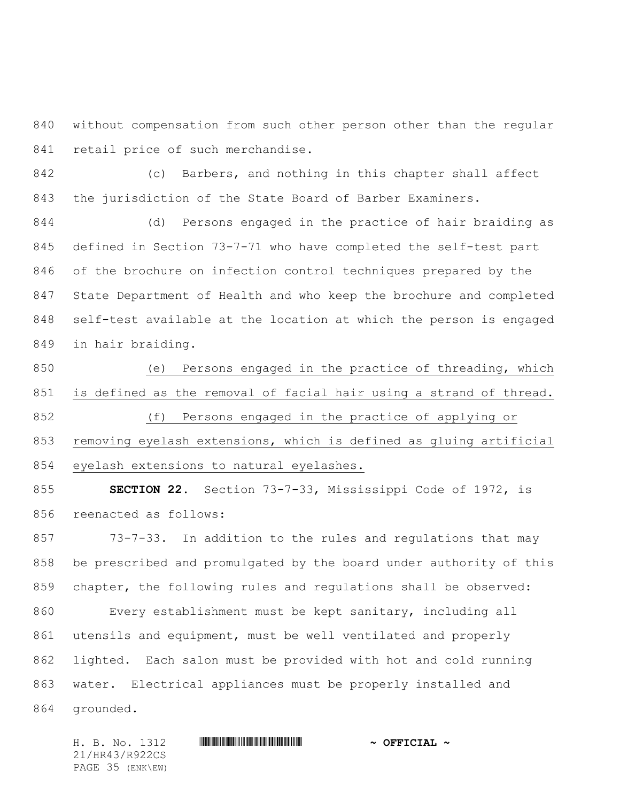without compensation from such other person other than the regular 841 retail price of such merchandise.

 (c) Barbers, and nothing in this chapter shall affect the jurisdiction of the State Board of Barber Examiners.

 (d) Persons engaged in the practice of hair braiding as defined in Section 73-7-71 who have completed the self-test part of the brochure on infection control techniques prepared by the State Department of Health and who keep the brochure and completed self-test available at the location at which the person is engaged in hair braiding.

 (e) Persons engaged in the practice of threading, which is defined as the removal of facial hair using a strand of thread. (f) Persons engaged in the practice of applying or removing eyelash extensions, which is defined as gluing artificial

eyelash extensions to natural eyelashes.

 **SECTION 22.** Section 73-7-33, Mississippi Code of 1972, is reenacted as follows:

 73-7-33. In addition to the rules and regulations that may be prescribed and promulgated by the board under authority of this chapter, the following rules and regulations shall be observed: Every establishment must be kept sanitary, including all utensils and equipment, must be well ventilated and properly lighted. Each salon must be provided with hot and cold running water. Electrical appliances must be properly installed and grounded.

21/HR43/R922CS PAGE 35 (ENK\EW)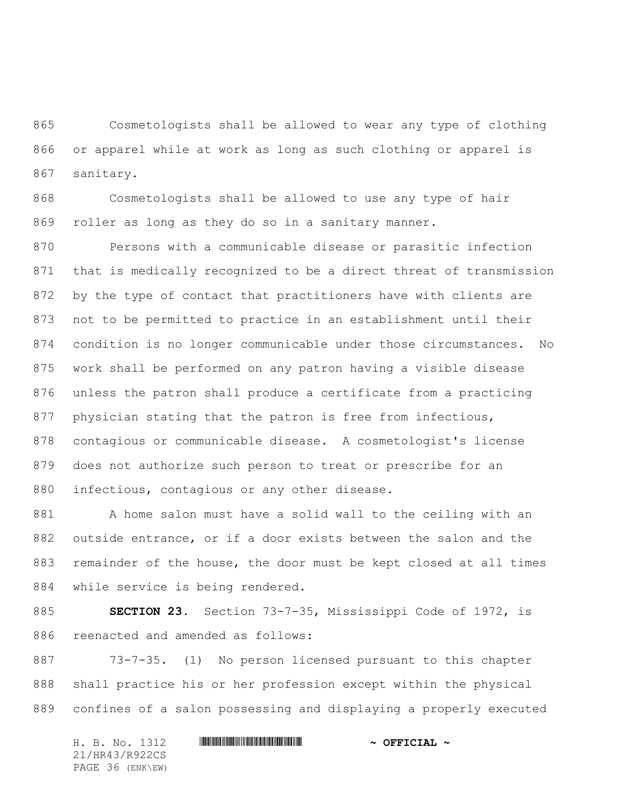Cosmetologists shall be allowed to wear any type of clothing or apparel while at work as long as such clothing or apparel is sanitary.

 Cosmetologists shall be allowed to use any type of hair roller as long as they do so in a sanitary manner.

 Persons with a communicable disease or parasitic infection that is medically recognized to be a direct threat of transmission by the type of contact that practitioners have with clients are not to be permitted to practice in an establishment until their condition is no longer communicable under those circumstances. No work shall be performed on any patron having a visible disease unless the patron shall produce a certificate from a practicing 877 physician stating that the patron is free from infectious, contagious or communicable disease. A cosmetologist's license does not authorize such person to treat or prescribe for an infectious, contagious or any other disease.

 A home salon must have a solid wall to the ceiling with an outside entrance, or if a door exists between the salon and the remainder of the house, the door must be kept closed at all times while service is being rendered.

 **SECTION 23.** Section 73-7-35, Mississippi Code of 1972, is reenacted and amended as follows:

 73-7-35. (1) No person licensed pursuant to this chapter shall practice his or her profession except within the physical confines of a salon possessing and displaying a properly executed

H. B. No. 1312 **HR441 R922 \* AND THE FIGURE \*** 21/HR43/R922CS PAGE 36 (ENK\EW)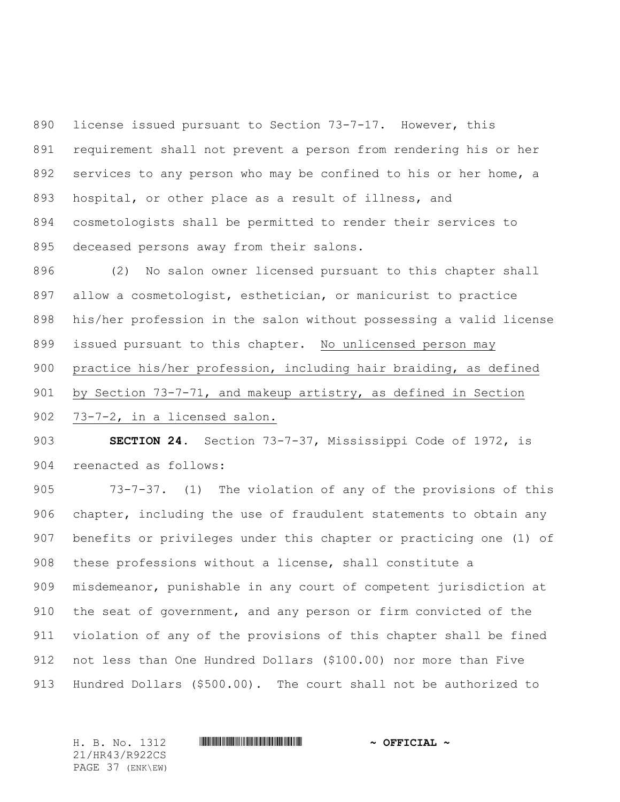license issued pursuant to Section 73-7-17. However, this requirement shall not prevent a person from rendering his or her 892 services to any person who may be confined to his or her home, a hospital, or other place as a result of illness, and cosmetologists shall be permitted to render their services to deceased persons away from their salons.

 (2) No salon owner licensed pursuant to this chapter shall allow a cosmetologist, esthetician, or manicurist to practice his/her profession in the salon without possessing a valid license issued pursuant to this chapter. No unlicensed person may practice his/her profession, including hair braiding, as defined by Section 73-7-71, and makeup artistry, as defined in Section

73-7-2, in a licensed salon.

 **SECTION 24.** Section 73-7-37, Mississippi Code of 1972, is reenacted as follows:

 73-7-37. (1) The violation of any of the provisions of this chapter, including the use of fraudulent statements to obtain any benefits or privileges under this chapter or practicing one (1) of these professions without a license, shall constitute a misdemeanor, punishable in any court of competent jurisdiction at the seat of government, and any person or firm convicted of the violation of any of the provisions of this chapter shall be fined not less than One Hundred Dollars (\$100.00) nor more than Five Hundred Dollars (\$500.00). The court shall not be authorized to

21/HR43/R922CS PAGE 37 (ENK\EW)

## H. B. No. 1312 **HR441 R922 \* AND THE R922 \* OFFICIAL** \*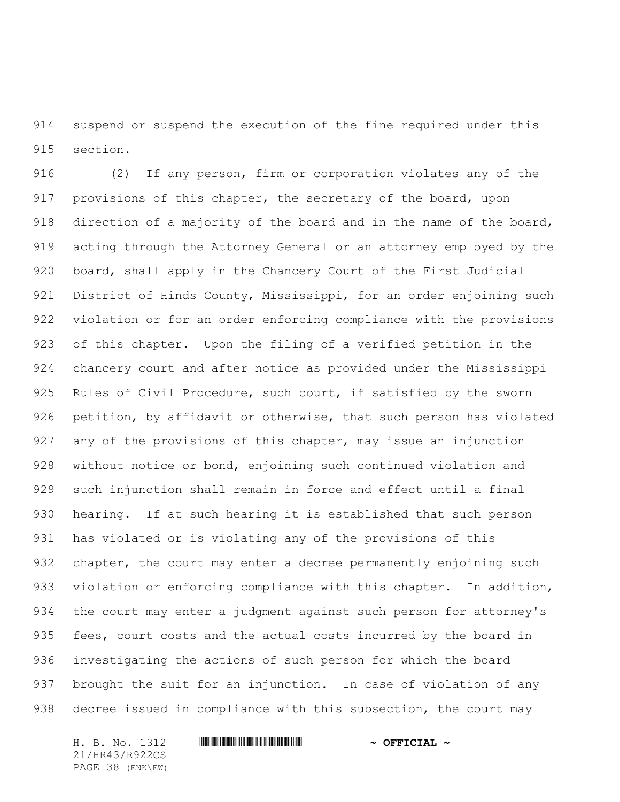suspend or suspend the execution of the fine required under this section.

 (2) If any person, firm or corporation violates any of the provisions of this chapter, the secretary of the board, upon direction of a majority of the board and in the name of the board, acting through the Attorney General or an attorney employed by the board, shall apply in the Chancery Court of the First Judicial 921 District of Hinds County, Mississippi, for an order enjoining such violation or for an order enforcing compliance with the provisions of this chapter. Upon the filing of a verified petition in the chancery court and after notice as provided under the Mississippi Rules of Civil Procedure, such court, if satisfied by the sworn petition, by affidavit or otherwise, that such person has violated any of the provisions of this chapter, may issue an injunction without notice or bond, enjoining such continued violation and such injunction shall remain in force and effect until a final hearing. If at such hearing it is established that such person has violated or is violating any of the provisions of this 932 chapter, the court may enter a decree permanently enjoining such 933 violation or enforcing compliance with this chapter. In addition, the court may enter a judgment against such person for attorney's fees, court costs and the actual costs incurred by the board in investigating the actions of such person for which the board brought the suit for an injunction. In case of violation of any decree issued in compliance with this subsection, the court may

21/HR43/R922CS PAGE 38 (ENK\EW)